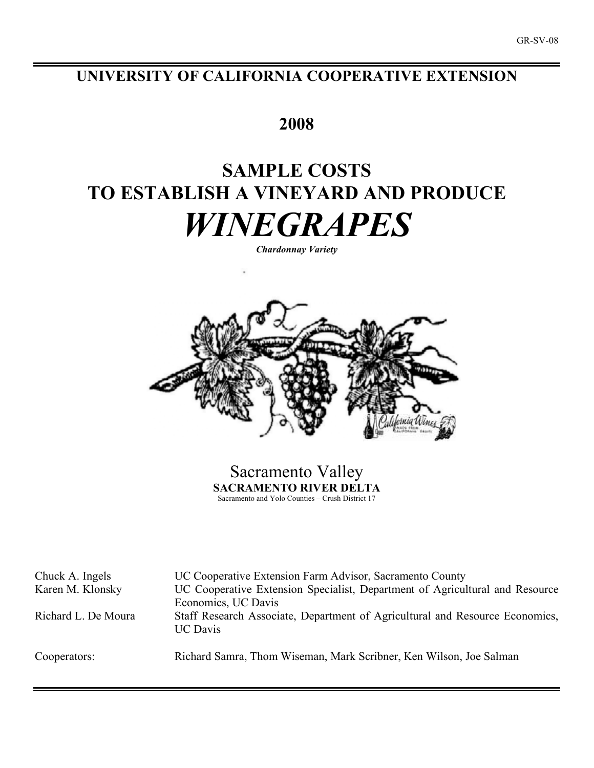# **UNIVERSITY OF CALIFORNIA COOPERATIVE EXTENSION**

# **2008**

# **SAMPLE COSTS TO ESTABLISH A VINEYARD AND PRODUCE** *WINEGRAPES*

*Chardonnay Variety*



Sacramento Valley **SACRAMENTO RIVER DELTA** Sacramento and Yolo Counties – Crush District 17

Chuck A. Ingels UC Cooperative Extension Farm Advisor, Sacramento County Karen M. Klonsky UC Cooperative Extension Specialist, Department of Agricultural and Resource Economics, UC Davis Richard L. De Moura Staff Research Associate, Department of Agricultural and Resource Economics, UC Davis

Cooperators: Richard Samra, Thom Wiseman, Mark Scribner, Ken Wilson, Joe Salman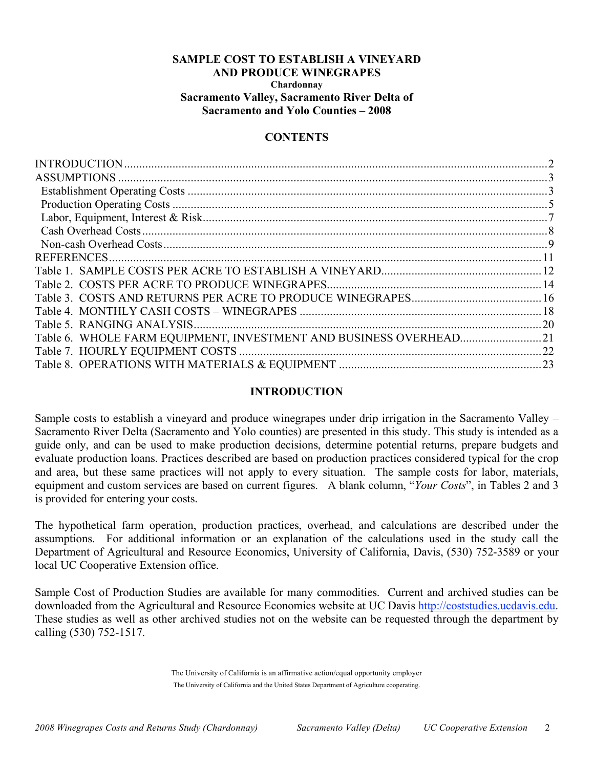## **SAMPLE COST TO ESTABLISH A VINEYARD AND PRODUCE WINEGRAPES Chardonnay Sacramento Valley, Sacramento River Delta of Sacramento and Yolo Counties – 2008**

## **CONTENTS**

| $\overline{2}$ |
|----------------|
|                |
|                |
|                |
|                |
|                |
|                |
|                |
|                |
|                |
|                |
|                |
|                |
|                |
|                |
|                |

## **INTRODUCTION**

Sample costs to establish a vineyard and produce winegrapes under drip irrigation in the Sacramento Valley – Sacramento River Delta (Sacramento and Yolo counties) are presented in this study. This study is intended as a guide only, and can be used to make production decisions, determine potential returns, prepare budgets and evaluate production loans. Practices described are based on production practices considered typical for the crop and area, but these same practices will not apply to every situation. The sample costs for labor, materials, equipment and custom services are based on current figures. A blank column, "*Your Costs*", in Tables 2 and 3 is provided for entering your costs.

The hypothetical farm operation, production practices, overhead, and calculations are described under the assumptions. For additional information or an explanation of the calculations used in the study call the Department of Agricultural and Resource Economics, University of California, Davis, (530) 752-3589 or your local UC Cooperative Extension office.

Sample Cost of Production Studies are available for many commodities. Current and archived studies can be downloaded from the Agricultural and Resource Economics website at UC Davis http://coststudies.ucdavis.edu. These studies as well as other archived studies not on the website can be requested through the department by calling (530) 752-1517.

> The University of California is an affirmative action/equal opportunity employer The University of California and the United States Department of Agriculture cooperating.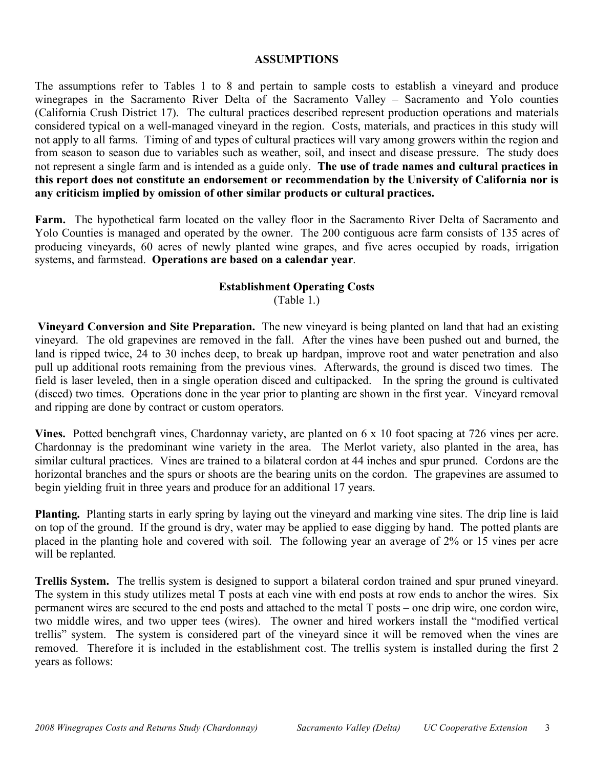## **ASSUMPTIONS**

The assumptions refer to Tables 1 to 8 and pertain to sample costs to establish a vineyard and produce winegrapes in the Sacramento River Delta of the Sacramento Valley – Sacramento and Yolo counties (California Crush District 17). The cultural practices described represent production operations and materials considered typical on a well-managed vineyard in the region. Costs, materials, and practices in this study will not apply to all farms. Timing of and types of cultural practices will vary among growers within the region and from season to season due to variables such as weather, soil, and insect and disease pressure. The study does not represent a single farm and is intended as a guide only. **The use of trade names and cultural practices in this report does not constitute an endorsement or recommendation by the University of California nor is any criticism implied by omission of other similar products or cultural practices.**

Farm. The hypothetical farm located on the valley floor in the Sacramento River Delta of Sacramento and Yolo Counties is managed and operated by the owner. The 200 contiguous acre farm consists of 135 acres of producing vineyards, 60 acres of newly planted wine grapes, and five acres occupied by roads, irrigation systems, and farmstead. **Operations are based on a calendar year**.

## **Establishment Operating Costs**

(Table 1.)

**Vineyard Conversion and Site Preparation.** The new vineyard is being planted on land that had an existing vineyard. The old grapevines are removed in the fall. After the vines have been pushed out and burned, the land is ripped twice, 24 to 30 inches deep, to break up hardpan, improve root and water penetration and also pull up additional roots remaining from the previous vines. Afterwards, the ground is disced two times. The field is laser leveled, then in a single operation disced and cultipacked. In the spring the ground is cultivated (disced) two times. Operations done in the year prior to planting are shown in the first year. Vineyard removal and ripping are done by contract or custom operators.

**Vines.** Potted benchgraft vines, Chardonnay variety, are planted on 6 x 10 foot spacing at 726 vines per acre. Chardonnay is the predominant wine variety in the area. The Merlot variety, also planted in the area, has similar cultural practices. Vines are trained to a bilateral cordon at 44 inches and spur pruned. Cordons are the horizontal branches and the spurs or shoots are the bearing units on the cordon. The grapevines are assumed to begin yielding fruit in three years and produce for an additional 17 years.

**Planting.** Planting starts in early spring by laying out the vineyard and marking vine sites. The drip line is laid on top of the ground. If the ground is dry, water may be applied to ease digging by hand. The potted plants are placed in the planting hole and covered with soil. The following year an average of 2% or 15 vines per acre will be replanted.

**Trellis System.** The trellis system is designed to support a bilateral cordon trained and spur pruned vineyard. The system in this study utilizes metal T posts at each vine with end posts at row ends to anchor the wires. Six permanent wires are secured to the end posts and attached to the metal T posts – one drip wire, one cordon wire, two middle wires, and two upper tees (wires). The owner and hired workers install the "modified vertical trellis" system. The system is considered part of the vineyard since it will be removed when the vines are removed. Therefore it is included in the establishment cost. The trellis system is installed during the first 2 years as follows: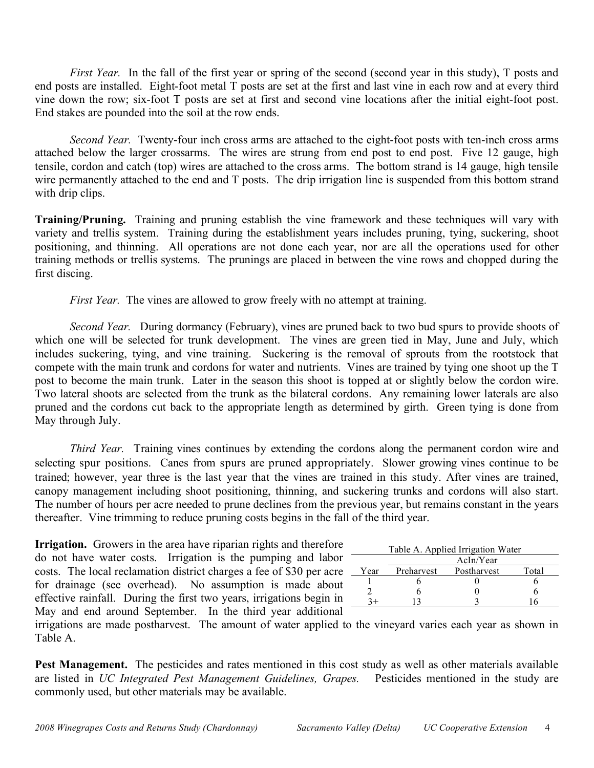*First Year.* In the fall of the first year or spring of the second (second year in this study), T posts and end posts are installed. Eight-foot metal T posts are set at the first and last vine in each row and at every third vine down the row; six-foot T posts are set at first and second vine locations after the initial eight-foot post. End stakes are pounded into the soil at the row ends.

*Second Year.* Twenty-four inch cross arms are attached to the eight-foot posts with ten-inch cross arms attached below the larger crossarms. The wires are strung from end post to end post. Five 12 gauge, high tensile, cordon and catch (top) wires are attached to the cross arms. The bottom strand is 14 gauge, high tensile wire permanently attached to the end and T posts. The drip irrigation line is suspended from this bottom strand with drip clips.

**Training/Pruning.** Training and pruning establish the vine framework and these techniques will vary with variety and trellis system. Training during the establishment years includes pruning, tying, suckering, shoot positioning, and thinning. All operations are not done each year, nor are all the operations used for other training methods or trellis systems. The prunings are placed in between the vine rows and chopped during the first discing.

*First Year.* The vines are allowed to grow freely with no attempt at training.

*Second Year.* During dormancy (February), vines are pruned back to two bud spurs to provide shoots of which one will be selected for trunk development. The vines are green tied in May, June and July, which includes suckering, tying, and vine training. Suckering is the removal of sprouts from the rootstock that compete with the main trunk and cordons for water and nutrients. Vines are trained by tying one shoot up the T post to become the main trunk. Later in the season this shoot is topped at or slightly below the cordon wire. Two lateral shoots are selected from the trunk as the bilateral cordons. Any remaining lower laterals are also pruned and the cordons cut back to the appropriate length as determined by girth. Green tying is done from May through July.

*Third Year.* Training vines continues by extending the cordons along the permanent cordon wire and selecting spur positions. Canes from spurs are pruned appropriately. Slower growing vines continue to be trained; however, year three is the last year that the vines are trained in this study. After vines are trained, canopy management including shoot positioning, thinning, and suckering trunks and cordons will also start. The number of hours per acre needed to prune declines from the previous year, but remains constant in the years thereafter. Vine trimming to reduce pruning costs begins in the fall of the third year.

**Irrigation.** Growers in the area have riparian rights and therefore do not have water costs. Irrigation is the pumping and labor costs. The local reclamation district charges a fee of \$30 per acre for drainage (see overhead). No assumption is made about effective rainfall. During the first two years, irrigations begin in May and end around September. In the third year additional

| Table A. Applied Irrigation Water |            |             |       |  |  |  |  |  |  |  |
|-----------------------------------|------------|-------------|-------|--|--|--|--|--|--|--|
|                                   |            | AcIn/Year   |       |  |  |  |  |  |  |  |
| Year                              | Preharvest | Postharvest | Total |  |  |  |  |  |  |  |
|                                   |            |             |       |  |  |  |  |  |  |  |
|                                   |            |             |       |  |  |  |  |  |  |  |
|                                   |            |             |       |  |  |  |  |  |  |  |

irrigations are made postharvest. The amount of water applied to the vineyard varies each year as shown in Table A.

**Pest Management.** The pesticides and rates mentioned in this cost study as well as other materials available are listed in *UC Integrated Pest Management Guidelines, Grapes.* Pesticides mentioned in the study are commonly used, but other materials may be available.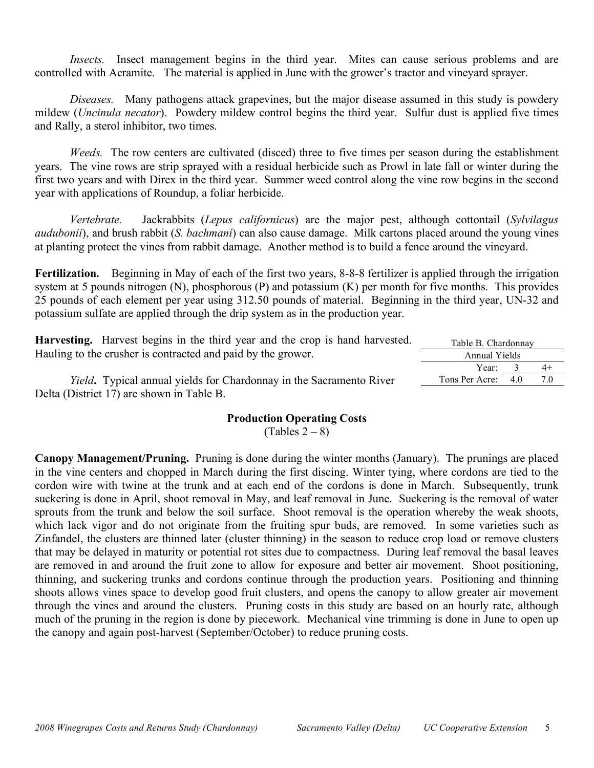*Insects.* Insect management begins in the third year. Mites can cause serious problems and are controlled with Acramite. The material is applied in June with the grower's tractor and vineyard sprayer.

*Diseases.* Many pathogens attack grapevines, but the major disease assumed in this study is powdery mildew (*Uncinula necator*). Powdery mildew control begins the third year. Sulfur dust is applied five times and Rally, a sterol inhibitor, two times.

*Weeds.* The row centers are cultivated (disced) three to five times per season during the establishment years. The vine rows are strip sprayed with a residual herbicide such as Prowl in late fall or winter during the first two years and with Direx in the third year. Summer weed control along the vine row begins in the second year with applications of Roundup, a foliar herbicide.

*Vertebrate.* Jackrabbits (*Lepus californicus*) are the major pest, although cottontail (*Sylvilagus audubonii*), and brush rabbit (*S. bachmani*) can also cause damage. Milk cartons placed around the young vines at planting protect the vines from rabbit damage. Another method is to build a fence around the vineyard.

**Fertilization.** Beginning in May of each of the first two years, 8-8-8 fertilizer is applied through the irrigation system at 5 pounds nitrogen (N), phosphorous (P) and potassium (K) per month for five months. This provides 25 pounds of each element per year using 312.50 pounds of material. Beginning in the third year, UN-32 and potassium sulfate are applied through the drip system as in the production year.

| <b>Harvesting.</b> Harvest begins in the third year and the crop is hand harvested. | Table B. Chardonnay |  |      |  |  |  |  |
|-------------------------------------------------------------------------------------|---------------------|--|------|--|--|--|--|
| Hauling to the crusher is contracted and paid by the grower.                        | Annual Yields       |  |      |  |  |  |  |
|                                                                                     | Year: $3$           |  | $4+$ |  |  |  |  |
| <i>Yield.</i> Typical annual yields for Chardonnay in the Sacramento River          | Tons Per Acre: 4.0  |  | 7.0  |  |  |  |  |
| Delta (District 17) are shown in Table B.                                           |                     |  |      |  |  |  |  |

## **Production Operating Costs**

 $(Tables 2-8)$ 

**Canopy Management/Pruning.** Pruning is done during the winter months (January). The prunings are placed in the vine centers and chopped in March during the first discing. Winter tying, where cordons are tied to the cordon wire with twine at the trunk and at each end of the cordons is done in March. Subsequently, trunk suckering is done in April, shoot removal in May, and leaf removal in June. Suckering is the removal of water sprouts from the trunk and below the soil surface. Shoot removal is the operation whereby the weak shoots, which lack vigor and do not originate from the fruiting spur buds, are removed. In some varieties such as Zinfandel, the clusters are thinned later (cluster thinning) in the season to reduce crop load or remove clusters that may be delayed in maturity or potential rot sites due to compactness. During leaf removal the basal leaves are removed in and around the fruit zone to allow for exposure and better air movement. Shoot positioning, thinning, and suckering trunks and cordons continue through the production years. Positioning and thinning shoots allows vines space to develop good fruit clusters, and opens the canopy to allow greater air movement through the vines and around the clusters. Pruning costs in this study are based on an hourly rate, although much of the pruning in the region is done by piecework. Mechanical vine trimming is done in June to open up the canopy and again post-harvest (September/October) to reduce pruning costs.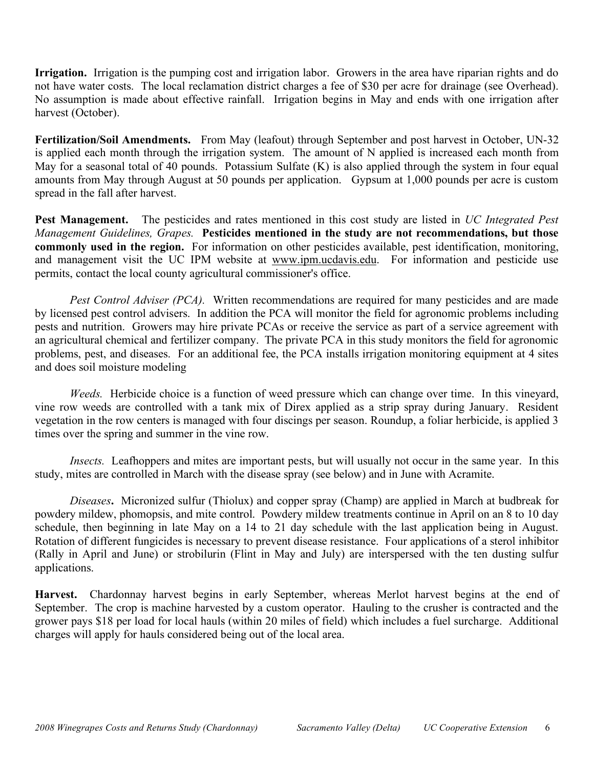**Irrigation.** Irrigation is the pumping cost and irrigation labor. Growers in the area have riparian rights and do not have water costs. The local reclamation district charges a fee of \$30 per acre for drainage (see Overhead). No assumption is made about effective rainfall. Irrigation begins in May and ends with one irrigation after harvest (October).

**Fertilization/Soil Amendments.** From May (leafout) through September and post harvest in October, UN-32 is applied each month through the irrigation system. The amount of N applied is increased each month from May for a seasonal total of 40 pounds. Potassium Sulfate (K) is also applied through the system in four equal amounts from May through August at 50 pounds per application. Gypsum at 1,000 pounds per acre is custom spread in the fall after harvest.

**Pest Management.** The pesticides and rates mentioned in this cost study are listed in *UC Integrated Pest Management Guidelines, Grapes.* **Pesticides mentioned in the study are not recommendations, but those commonly used in the region.** For information on other pesticides available, pest identification, monitoring, and management visit the UC IPM website at www.ipm.ucdavis.edu. For information and pesticide use permits, contact the local county agricultural commissioner's office.

*Pest Control Adviser (PCA).* Written recommendations are required for many pesticides and are made by licensed pest control advisers. In addition the PCA will monitor the field for agronomic problems including pests and nutrition. Growers may hire private PCAs or receive the service as part of a service agreement with an agricultural chemical and fertilizer company. The private PCA in this study monitors the field for agronomic problems, pest, and diseases. For an additional fee, the PCA installs irrigation monitoring equipment at 4 sites and does soil moisture modeling

*Weeds.* Herbicide choice is a function of weed pressure which can change over time. In this vineyard, vine row weeds are controlled with a tank mix of Direx applied as a strip spray during January. Resident vegetation in the row centers is managed with four discings per season. Roundup, a foliar herbicide, is applied 3 times over the spring and summer in the vine row.

*Insects.* Leafhoppers and mites are important pests, but will usually not occur in the same year. In this study, mites are controlled in March with the disease spray (see below) and in June with Acramite.

*Diseases***.** Micronized sulfur (Thiolux) and copper spray (Champ) are applied in March at budbreak for powdery mildew, phomopsis, and mite control. Powdery mildew treatments continue in April on an 8 to 10 day schedule, then beginning in late May on a 14 to 21 day schedule with the last application being in August. Rotation of different fungicides is necessary to prevent disease resistance. Four applications of a sterol inhibitor (Rally in April and June) or strobilurin (Flint in May and July) are interspersed with the ten dusting sulfur applications.

**Harvest.** Chardonnay harvest begins in early September, whereas Merlot harvest begins at the end of September. The crop is machine harvested by a custom operator. Hauling to the crusher is contracted and the grower pays \$18 per load for local hauls (within 20 miles of field) which includes a fuel surcharge. Additional charges will apply for hauls considered being out of the local area.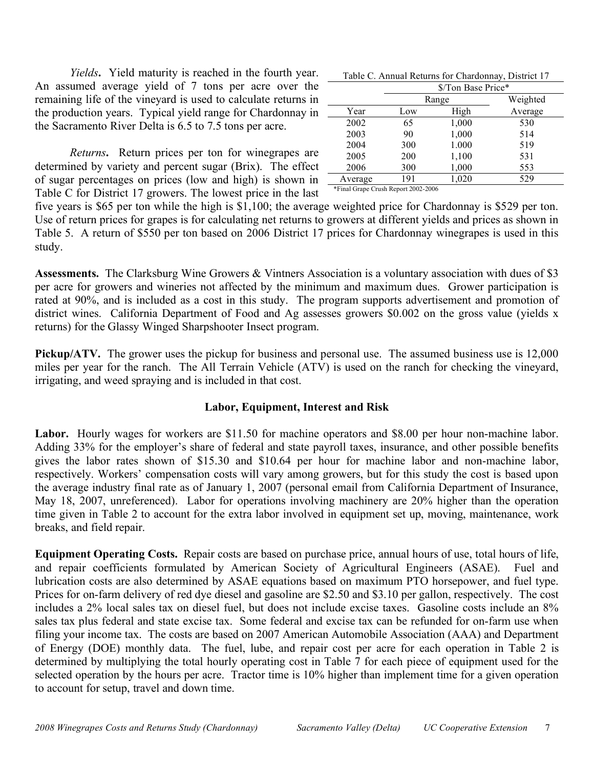*Yields***.** Yield maturity is reached in the fourth year. An assumed average yield of 7 tons per acre over the remaining life of the vineyard is used to calculate returns in the production years. Typical yield range for Chardonnay in the Sacramento River Delta is 6.5 to 7.5 tons per acre.

*Returns***.** Return prices per ton for winegrapes are determined by variety and percent sugar (Brix). The effect of sugar percentages on prices (low and high) is shown in Table C for District 17 growers. The lowest price in the last

| Table C. Annual Returns for Chardonnay, District 17 |  |  |  |
|-----------------------------------------------------|--|--|--|
|-----------------------------------------------------|--|--|--|

|                                     | \$/Ton Base Price* |       |          |  |  |  |  |  |  |
|-------------------------------------|--------------------|-------|----------|--|--|--|--|--|--|
|                                     |                    | Range | Weighted |  |  |  |  |  |  |
| Year                                | Low                | High  | Average  |  |  |  |  |  |  |
| 2002                                | 65                 | 1,000 | 530      |  |  |  |  |  |  |
| 2003                                | 90                 | 1,000 | 514      |  |  |  |  |  |  |
| 2004                                | 300                | 1.000 | 519      |  |  |  |  |  |  |
| 2005                                | 200                | 1,100 | 531      |  |  |  |  |  |  |
| 2006                                | 300                | 1,000 | 553      |  |  |  |  |  |  |
| Average                             | 191                | 1,020 | 529      |  |  |  |  |  |  |
| *Final Grape Crush Report 2002-2006 |                    |       |          |  |  |  |  |  |  |

five years is \$65 per ton while the high is \$1,100; the average weighted price for Chardonnay is \$529 per ton. Use of return prices for grapes is for calculating net returns to growers at different yields and prices as shown in Table 5. A return of \$550 per ton based on 2006 District 17 prices for Chardonnay winegrapes is used in this study.

Assessments. The Clarksburg Wine Growers & Vintners Association is a voluntary association with dues of \$3 per acre for growers and wineries not affected by the minimum and maximum dues. Grower participation is rated at 90%, and is included as a cost in this study. The program supports advertisement and promotion of district wines. California Department of Food and Ag assesses growers \$0.002 on the gross value (yields x returns) for the Glassy Winged Sharpshooter Insect program.

**Pickup/ATV.** The grower uses the pickup for business and personal use. The assumed business use is 12,000 miles per year for the ranch. The All Terrain Vehicle (ATV) is used on the ranch for checking the vineyard, irrigating, and weed spraying and is included in that cost.

## **Labor, Equipment, Interest and Risk**

Labor. Hourly wages for workers are \$11.50 for machine operators and \$8.00 per hour non-machine labor. Adding 33% for the employer's share of federal and state payroll taxes, insurance, and other possible benefits gives the labor rates shown of \$15.30 and \$10.64 per hour for machine labor and non-machine labor, respectively. Workers' compensation costs will vary among growers, but for this study the cost is based upon the average industry final rate as of January 1, 2007 (personal email from California Department of Insurance, May 18, 2007, unreferenced). Labor for operations involving machinery are 20% higher than the operation time given in Table 2 to account for the extra labor involved in equipment set up, moving, maintenance, work breaks, and field repair.

**Equipment Operating Costs.** Repair costs are based on purchase price, annual hours of use, total hours of life, and repair coefficients formulated by American Society of Agricultural Engineers (ASAE). Fuel and lubrication costs are also determined by ASAE equations based on maximum PTO horsepower, and fuel type. Prices for on-farm delivery of red dye diesel and gasoline are \$2.50 and \$3.10 per gallon, respectively. The cost includes a 2% local sales tax on diesel fuel, but does not include excise taxes. Gasoline costs include an 8% sales tax plus federal and state excise tax. Some federal and excise tax can be refunded for on-farm use when filing your income tax. The costs are based on 2007 American Automobile Association (AAA) and Department of Energy (DOE) monthly data. The fuel, lube, and repair cost per acre for each operation in Table 2 is determined by multiplying the total hourly operating cost in Table 7 for each piece of equipment used for the selected operation by the hours per acre. Tractor time is 10% higher than implement time for a given operation to account for setup, travel and down time.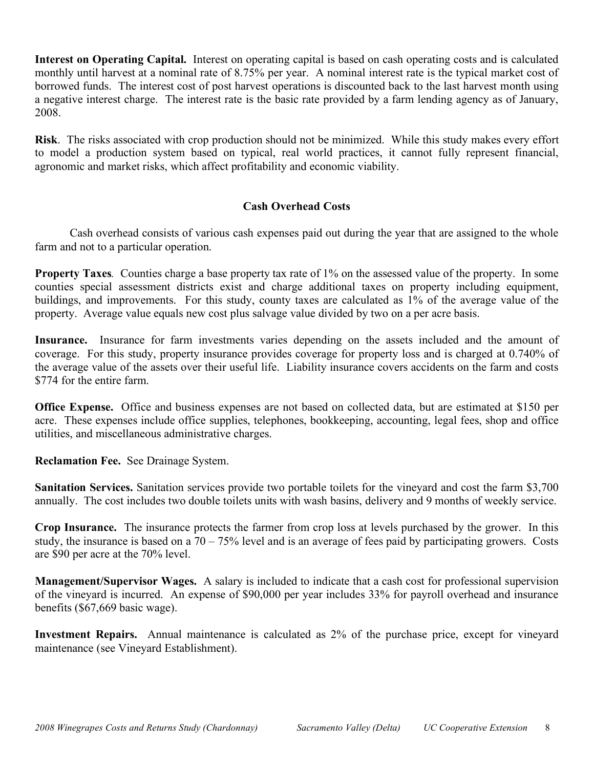**Interest on Operating Capital.** Interest on operating capital is based on cash operating costs and is calculated monthly until harvest at a nominal rate of 8.75% per year. A nominal interest rate is the typical market cost of borrowed funds. The interest cost of post harvest operations is discounted back to the last harvest month using a negative interest charge. The interest rate is the basic rate provided by a farm lending agency as of January, 2008.

**Risk**. The risks associated with crop production should not be minimized. While this study makes every effort to model a production system based on typical, real world practices, it cannot fully represent financial, agronomic and market risks, which affect profitability and economic viability.

## **Cash Overhead Costs**

Cash overhead consists of various cash expenses paid out during the year that are assigned to the whole farm and not to a particular operation.

**Property Taxes**. Counties charge a base property tax rate of 1% on the assessed value of the property. In some counties special assessment districts exist and charge additional taxes on property including equipment, buildings, and improvements. For this study, county taxes are calculated as 1% of the average value of the property. Average value equals new cost plus salvage value divided by two on a per acre basis.

**Insurance.** Insurance for farm investments varies depending on the assets included and the amount of coverage. For this study, property insurance provides coverage for property loss and is charged at 0.740% of the average value of the assets over their useful life. Liability insurance covers accidents on the farm and costs \$774 for the entire farm.

**Office Expense.** Office and business expenses are not based on collected data, but are estimated at \$150 per acre. These expenses include office supplies, telephones, bookkeeping, accounting, legal fees, shop and office utilities, and miscellaneous administrative charges.

**Reclamation Fee.** See Drainage System.

**Sanitation Services.** Sanitation services provide two portable toilets for the vineyard and cost the farm \$3,700 annually. The cost includes two double toilets units with wash basins, delivery and 9 months of weekly service.

**Crop Insurance.** The insurance protects the farmer from crop loss at levels purchased by the grower. In this study, the insurance is based on a  $70 - 75\%$  level and is an average of fees paid by participating growers. Costs are \$90 per acre at the 70% level.

**Management/Supervisor Wages.** A salary is included to indicate that a cash cost for professional supervision of the vineyard is incurred. An expense of \$90,000 per year includes 33% for payroll overhead and insurance benefits (\$67,669 basic wage).

**Investment Repairs.** Annual maintenance is calculated as 2% of the purchase price, except for vineyard maintenance (see Vineyard Establishment).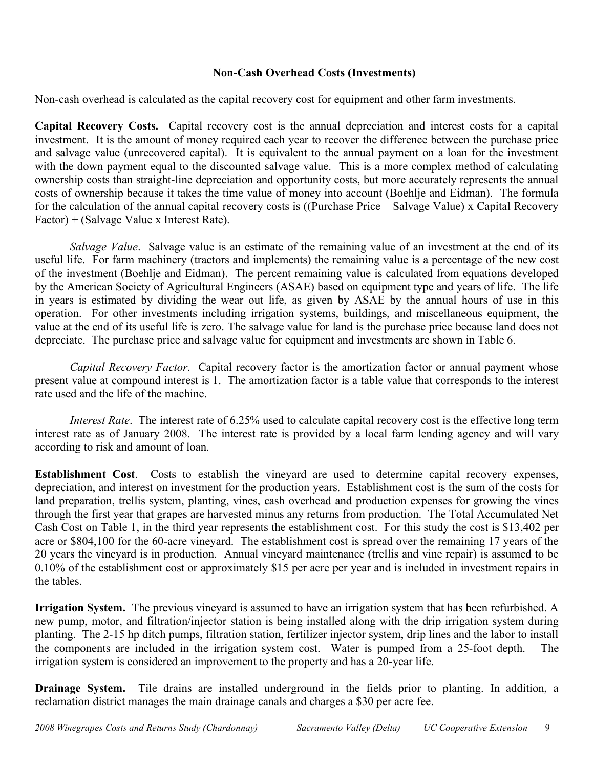## **Non-Cash Overhead Costs (Investments)**

Non-cash overhead is calculated as the capital recovery cost for equipment and other farm investments.

**Capital Recovery Costs.** Capital recovery cost is the annual depreciation and interest costs for a capital investment. It is the amount of money required each year to recover the difference between the purchase price and salvage value (unrecovered capital). It is equivalent to the annual payment on a loan for the investment with the down payment equal to the discounted salvage value. This is a more complex method of calculating ownership costs than straight-line depreciation and opportunity costs, but more accurately represents the annual costs of ownership because it takes the time value of money into account (Boehlje and Eidman). The formula for the calculation of the annual capital recovery costs is ((Purchase Price – Salvage Value) x Capital Recovery Factor) + (Salvage Value x Interest Rate).

*Salvage Value*. Salvage value is an estimate of the remaining value of an investment at the end of its useful life. For farm machinery (tractors and implements) the remaining value is a percentage of the new cost of the investment (Boehlje and Eidman). The percent remaining value is calculated from equations developed by the American Society of Agricultural Engineers (ASAE) based on equipment type and years of life. The life in years is estimated by dividing the wear out life, as given by ASAE by the annual hours of use in this operation. For other investments including irrigation systems, buildings, and miscellaneous equipment, the value at the end of its useful life is zero. The salvage value for land is the purchase price because land does not depreciate. The purchase price and salvage value for equipment and investments are shown in Table 6.

*Capital Recovery Factor*. Capital recovery factor is the amortization factor or annual payment whose present value at compound interest is 1. The amortization factor is a table value that corresponds to the interest rate used and the life of the machine.

*Interest Rate*. The interest rate of 6.25% used to calculate capital recovery cost is the effective long term interest rate as of January 2008. The interest rate is provided by a local farm lending agency and will vary according to risk and amount of loan.

**Establishment Cost**. Costs to establish the vineyard are used to determine capital recovery expenses, depreciation, and interest on investment for the production years. Establishment cost is the sum of the costs for land preparation, trellis system, planting, vines, cash overhead and production expenses for growing the vines through the first year that grapes are harvested minus any returns from production. The Total Accumulated Net Cash Cost on Table 1, in the third year represents the establishment cost. For this study the cost is \$13,402 per acre or \$804,100 for the 60-acre vineyard. The establishment cost is spread over the remaining 17 years of the 20 years the vineyard is in production. Annual vineyard maintenance (trellis and vine repair) is assumed to be 0.10% of the establishment cost or approximately \$15 per acre per year and is included in investment repairs in the tables.

**Irrigation System.** The previous vineyard is assumed to have an irrigation system that has been refurbished. A new pump, motor, and filtration/injector station is being installed along with the drip irrigation system during planting. The 2-15 hp ditch pumps, filtration station, fertilizer injector system, drip lines and the labor to install the components are included in the irrigation system cost. Water is pumped from a 25-foot depth. The irrigation system is considered an improvement to the property and has a 20-year life.

**Drainage System.** Tile drains are installed underground in the fields prior to planting. In addition, a reclamation district manages the main drainage canals and charges a \$30 per acre fee.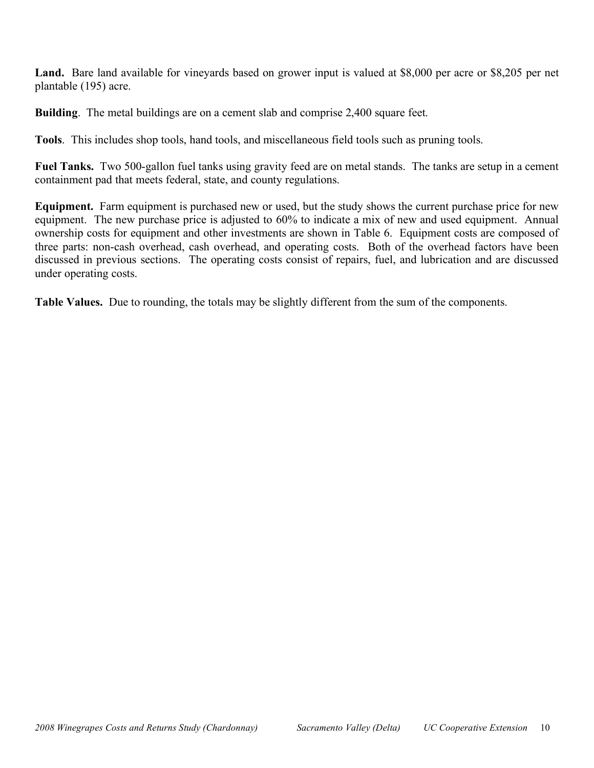**Land.** Bare land available for vineyards based on grower input is valued at \$8,000 per acre or \$8,205 per net plantable (195) acre.

**Building.** The metal buildings are on a cement slab and comprise 2,400 square feet.

**Tools**. This includes shop tools, hand tools, and miscellaneous field tools such as pruning tools.

**Fuel Tanks.** Two 500-gallon fuel tanks using gravity feed are on metal stands. The tanks are setup in a cement containment pad that meets federal, state, and county regulations.

**Equipment.** Farm equipment is purchased new or used, but the study shows the current purchase price for new equipment. The new purchase price is adjusted to 60% to indicate a mix of new and used equipment. Annual ownership costs for equipment and other investments are shown in Table 6. Equipment costs are composed of three parts: non-cash overhead, cash overhead, and operating costs. Both of the overhead factors have been discussed in previous sections. The operating costs consist of repairs, fuel, and lubrication and are discussed under operating costs.

**Table Values.** Due to rounding, the totals may be slightly different from the sum of the components.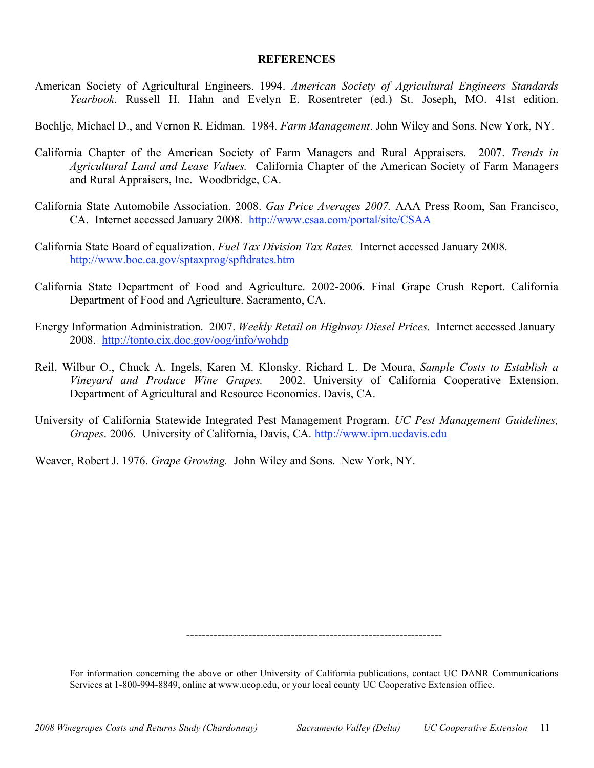## **REFERENCES**

American Society of Agricultural Engineers. 1994. *American Society of Agricultural Engineers Standards Yearbook*. Russell H. Hahn and Evelyn E. Rosentreter (ed.) St. Joseph, MO. 41st edition.

Boehlje, Michael D., and Vernon R. Eidman. 1984. *Farm Management*. John Wiley and Sons. New York, NY.

- California Chapter of the American Society of Farm Managers and Rural Appraisers. 2007. *Trends in Agricultural Land and Lease Values.* California Chapter of the American Society of Farm Managers and Rural Appraisers, Inc. Woodbridge, CA.
- California State Automobile Association. 2008. *Gas Price Averages 2007.* AAA Press Room, San Francisco, CA. Internet accessed January 2008. http://www.csaa.com/portal/site/CSAA
- California State Board of equalization. *Fuel Tax Division Tax Rates.* Internet accessed January 2008. http://www.boe.ca.gov/sptaxprog/spftdrates.htm
- California State Department of Food and Agriculture. 2002-2006. Final Grape Crush Report. California Department of Food and Agriculture. Sacramento, CA.
- Energy Information Administration. 2007. *Weekly Retail on Highway Diesel Prices.* Internet accessed January 2008. http://tonto.eix.doe.gov/oog/info/wohdp
- Reil, Wilbur O., Chuck A. Ingels, Karen M. Klonsky. Richard L. De Moura, *Sample Costs to Establish a Vineyard and Produce Wine Grapes.* 2002. University of California Cooperative Extension. Department of Agricultural and Resource Economics. Davis, CA.
- University of California Statewide Integrated Pest Management Program. *UC Pest Management Guidelines, Grapes*. 2006. University of California, Davis, CA. http://www.ipm.ucdavis.edu

Weaver, Robert J. 1976. *Grape Growing.* John Wiley and Sons. New York, NY.

------------------------------------------------------------------

For information concerning the above or other University of California publications, contact UC DANR Communications Services at 1-800-994-8849, online at www.ucop.edu, or your local county UC Cooperative Extension office.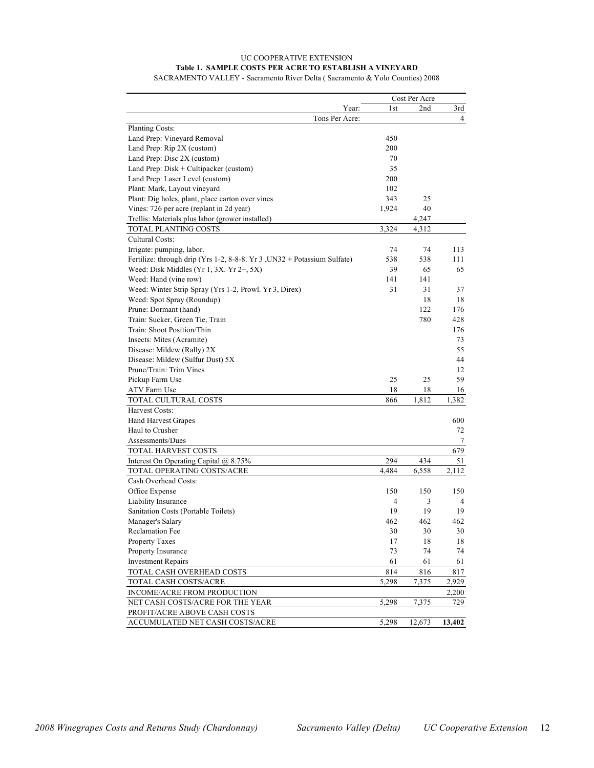## UC COOPERATIVE EXTENSION **Table 1. SAMPLE COSTS PER ACRE TO ESTABLISH A VINEYARD** SACRAMENTO VALLEY - Sacramento River Delta ( Sacramento & Yolo Counties) 2008

|                                                                          |       | Cost Per Acre |        |
|--------------------------------------------------------------------------|-------|---------------|--------|
| Year:                                                                    | 1st   | 2nd           | 3rd    |
| Tons Per Acre:                                                           |       |               | 4      |
| Planting Costs:                                                          |       |               |        |
| Land Prep: Vineyard Removal                                              | 450   |               |        |
| Land Prep: Rip 2X (custom)                                               | 200   |               |        |
| Land Prep: Disc 2X (custom)                                              | 70    |               |        |
| Land Prep: $Disk + Culture$ (custom)                                     | 35    |               |        |
| Land Prep: Laser Level (custom)                                          | 200   |               |        |
| Plant: Mark, Layout vineyard                                             | 102   |               |        |
| Plant: Dig holes, plant, place carton over vines                         | 343   | 25            |        |
| Vines: 726 per acre (replant in 2d year)                                 | 1,924 | 40            |        |
| Trellis: Materials plus labor (grower installed)                         |       | 4,247         |        |
| TOTAL PLANTING COSTS                                                     | 3,324 | 4,312         |        |
| Cultural Costs:                                                          |       |               |        |
| Irrigate: pumping, labor.                                                | 74    | 74            | 113    |
| Fertilize: through drip (Yrs 1-2, 8-8-8. Yr 3, UN32 + Potassium Sulfate) | 538   | 538           | 111    |
| Weed: Disk Middles (Yr 1, 3X. Yr $2+$ , 5X)                              | 39    | 65            | 65     |
| Weed: Hand (vine row)                                                    | 141   | 141           |        |
| Weed: Winter Strip Spray (Yrs 1-2, Prowl. Yr 3, Direx)                   | 31    | 31            | 37     |
| Weed: Spot Spray (Roundup)                                               |       | 18            | 18     |
| Prune: Dormant (hand)                                                    |       | 122           | 176    |
| Train: Sucker, Green Tie, Train                                          |       | 780           | 428    |
| Train: Shoot Position/Thin                                               |       |               | 176    |
| Insects: Mites (Acramite)                                                |       |               | 73     |
| Disease: Mildew (Rally) 2X                                               |       |               | 55     |
| Disease: Mildew (Sulfur Dust) 5X                                         |       |               | 44     |
| Prune/Train: Trim Vines                                                  |       |               | 12     |
| Pickup Farm Use                                                          | 25    | 25            | 59     |
| ATV Farm Use                                                             | 18    | 18            | 16     |
| TOTAL CULTURAL COSTS                                                     | 866   | 1,812         | 1,382  |
| Harvest Costs:                                                           |       |               |        |
| <b>Hand Harvest Grapes</b>                                               |       |               | 600    |
| Haul to Crusher                                                          |       |               | 72     |
| Assessments/Dues                                                         |       |               | 7      |
| TOTAL HARVEST COSTS                                                      |       |               | 679    |
| Interest On Operating Capital @ 8.75%                                    | 294   | 434           | 51     |
| TOTAL OPERATING COSTS/ACRE                                               | 4,484 | 6,558         | 2,112  |
| Cash Overhead Costs:                                                     |       |               |        |
| Office Expense                                                           | 150   | 150           | 150    |
| Liability Insurance                                                      | 4     | 3             | 4      |
| Sanitation Costs (Portable Toilets)                                      | 19    | 19            | 19     |
| Manager's Salary                                                         | 462   | 462           | 462    |
| Reclamation Fee                                                          | 30    | 30            | 30     |
| Property Taxes                                                           | 17    | 18            | 18     |
| Property Insurance                                                       | 73    | 74            | 74     |
| <b>Investment Repairs</b>                                                | 61    | 61            | 61     |
| TOTAL CASH OVERHEAD COSTS                                                | 814   | 816           | 817    |
| TOTAL CASH COSTS/ACRE                                                    | 5,298 | 7,375         | 2,929  |
| INCOME/ACRE FROM PRODUCTION                                              |       |               | 2,200  |
| NET CASH COSTS/ACRE FOR THE YEAR                                         | 5,298 | 7,375         | 729    |
| PROFIT/ACRE ABOVE CASH COSTS                                             |       |               |        |
| ACCUMULATED NET CASH COSTS/ACRE                                          | 5,298 | 12,673        | 13,402 |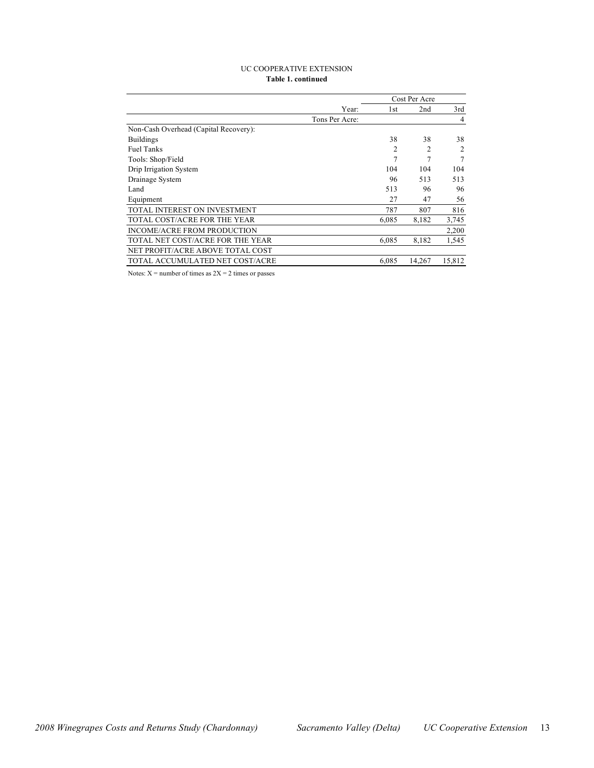#### UC COOPERATIVE EXTENSION **Table 1. continued**

|                                       |                | Cost Per Acre |                |                |
|---------------------------------------|----------------|---------------|----------------|----------------|
|                                       | Year:          | 1st           | 2nd            | 3rd            |
|                                       | Tons Per Acre: |               |                | $\overline{4}$ |
| Non-Cash Overhead (Capital Recovery): |                |               |                |                |
| <b>Buildings</b>                      |                | 38            | 38             | 38             |
| <b>Fuel Tanks</b>                     |                | 2             | $\mathfrak{D}$ | $\mathcal{L}$  |
| Tools: Shop/Field                     |                | 7             | 7              | 7              |
| Drip Irrigation System                |                | 104           | 104            | 104            |
| Drainage System                       |                | 96            | 513            | 513            |
| Land                                  |                | 513           | 96             | 96             |
| Equipment                             |                | 27            | 47             | 56             |
| TOTAL INTEREST ON INVESTMENT          |                | 787           | 807            | 816            |
| TOTAL COST/ACRE FOR THE YEAR          |                | 6.085         | 8,182          | 3,745          |
| INCOME/ACRE FROM PRODUCTION           |                |               |                | 2,200          |
| TOTAL NET COST/ACRE FOR THE YEAR      |                | 6,085         | 8,182          | 1,545          |
| NET PROFIT/ACRE ABOVE TOTAL COST      |                |               |                |                |
| TOTAL ACCUMULATED NET COST/ACRE       |                | 6,085         | 14,267         | 15,812         |

Notes:  $X =$  number of times as  $2X = 2$  times or passes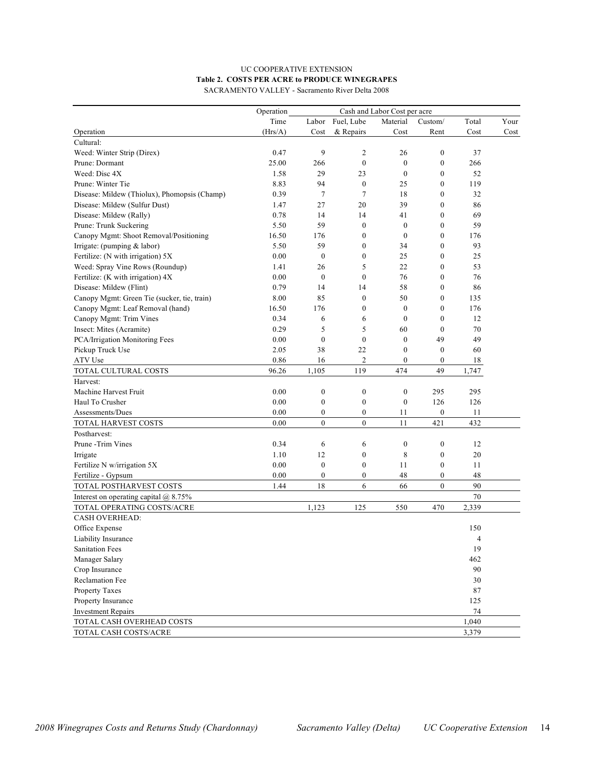## UC COOPERATIVE EXTENSION **Table 2. COSTS PER ACRE to PRODUCE WINEGRAPES** SACRAMENTO VALLEY - Sacramento River Delta 2008

|                                              | Operation | Cash and Labor Cost per acre |                  |                  |                  |          |      |  |
|----------------------------------------------|-----------|------------------------------|------------------|------------------|------------------|----------|------|--|
|                                              | Time      |                              | Labor Fuel, Lube | Material         | Custom/          | Total    | Your |  |
| Operation                                    | (Hrs/A)   | Cost                         | & Repairs        | Cost             | Rent             | Cost     | Cost |  |
| Cultural:                                    |           |                              |                  |                  |                  |          |      |  |
| Weed: Winter Strip (Direx)                   | 0.47      | 9                            | $\overline{c}$   | 26               | $\mathbf{0}$     | 37       |      |  |
| Prune: Dormant                               | 25.00     | 266                          | $\mathbf{0}$     | $\boldsymbol{0}$ | $\boldsymbol{0}$ | 266      |      |  |
| Weed: Disc 4X                                | 1.58      | 29                           | 23               | $\mathbf{0}$     | $\mathbf{0}$     | 52       |      |  |
| Prune: Winter Tie                            | 8.83      | 94                           | $\boldsymbol{0}$ | 25               | $\boldsymbol{0}$ | 119      |      |  |
| Disease: Mildew (Thiolux), Phomopsis (Champ) | 0.39      | $\tau$                       | 7                | 18               | $\mathbf{0}$     | 32       |      |  |
| Disease: Mildew (Sulfur Dust)                | 1.47      | 27                           | 20               | 39               | 0                | 86       |      |  |
| Disease: Mildew (Rally)                      | 0.78      | 14                           | 14               | 41               | $\mathbf{0}$     | 69       |      |  |
| Prune: Trunk Suckering                       | 5.50      | 59                           | $\boldsymbol{0}$ | $\mathbf{0}$     | 0                | 59       |      |  |
| Canopy Mgmt: Shoot Removal/Positioning       | 16.50     | 176                          | $\boldsymbol{0}$ | $\mathbf{0}$     | 0                | 176      |      |  |
| Irrigate: (pumping & labor)                  | 5.50      | 59                           | $\boldsymbol{0}$ | 34               | $\mathbf{0}$     | 93       |      |  |
| Fertilize: (N with irrigation) 5X            | 0.00      | $\mathbf{0}$                 | $\boldsymbol{0}$ | 25               | $\mathbf{0}$     | 25       |      |  |
| Weed: Spray Vine Rows (Roundup)              | 1.41      | 26                           | 5                | 22               | $\mathbf{0}$     | 53       |      |  |
| Fertilize: (K with irrigation) 4X            | 0.00      | $\mathbf{0}$                 | $\boldsymbol{0}$ | 76               | 0                | 76       |      |  |
| Disease: Mildew (Flint)                      | 0.79      | 14                           | 14               | 58               | 0                | 86       |      |  |
| Canopy Mgmt: Green Tie (sucker, tie, train)  | 8.00      | 85                           | $\boldsymbol{0}$ | 50               | 0                | 135      |      |  |
| Canopy Mgmt: Leaf Removal (hand)             | 16.50     | 176                          | $\boldsymbol{0}$ | $\mathbf{0}$     | $\mathbf{0}$     | 176      |      |  |
| Canopy Mgmt: Trim Vines                      | 0.34      | 6                            | 6                | $\mathbf{0}$     | $\boldsymbol{0}$ | 12       |      |  |
| Insect: Mites (Acramite)                     | 0.29      | 5                            | 5                | 60               | $\mathbf{0}$     | 70       |      |  |
| PCA/Irrigation Monitoring Fees               | 0.00      | $\mathbf{0}$                 | $\mathbf{0}$     | $\mathbf{0}$     | 49               | 49       |      |  |
| Pickup Truck Use                             | 2.05      | 38                           | 22               | $\mathbf{0}$     | $\boldsymbol{0}$ | 60       |      |  |
| ATV Use                                      | 0.86      | 16                           | $\overline{c}$   | $\boldsymbol{0}$ | $\boldsymbol{0}$ | 18       |      |  |
| TOTAL CULTURAL COSTS                         | 96.26     | 1,105                        | 119              | 474              | 49               | 1,747    |      |  |
| Harvest:                                     |           |                              |                  |                  |                  |          |      |  |
| Machine Harvest Fruit                        | 0.00      | $\boldsymbol{0}$             | $\boldsymbol{0}$ | $\boldsymbol{0}$ | 295              | 295      |      |  |
| Haul To Crusher                              | 0.00      | $\boldsymbol{0}$             | $\boldsymbol{0}$ | $\boldsymbol{0}$ | 126              | 126      |      |  |
| Assessments/Dues                             | 0.00      | $\boldsymbol{0}$             | $\boldsymbol{0}$ | 11               | $\boldsymbol{0}$ | 11       |      |  |
| TOTAL HARVEST COSTS                          | 0.00      | $\mathbf{0}$                 | $\boldsymbol{0}$ | 11               | 421              | 432      |      |  |
| Postharvest:                                 |           |                              |                  |                  |                  |          |      |  |
| Prune - Trim Vines                           | 0.34      | 6                            | 6                | $\boldsymbol{0}$ | $\boldsymbol{0}$ | 12       |      |  |
| Irrigate                                     | 1.10      | 12                           | $\boldsymbol{0}$ | 8                | $\boldsymbol{0}$ | 20       |      |  |
| Fertilize N w/irrigation 5X                  | 0.00      | $\mathbf{0}$                 | $\boldsymbol{0}$ | 11               | $\boldsymbol{0}$ | 11       |      |  |
| Fertilize - Gypsum                           | 0.00      | 0                            | $\boldsymbol{0}$ | 48               | $\boldsymbol{0}$ | 48       |      |  |
| TOTAL POSTHARVEST COSTS                      | 1.44      | 18                           | 6                | 66               | $\mathbf{0}$     | 90       |      |  |
| Interest on operating capital $@$ 8.75%      |           |                              |                  |                  |                  | 70       |      |  |
| TOTAL OPERATING COSTS/ACRE                   |           | 1,123                        | 125              | 550              | 470              | 2,339    |      |  |
| <b>CASH OVERHEAD:</b>                        |           |                              |                  |                  |                  |          |      |  |
| Office Expense                               |           |                              |                  |                  |                  | 150      |      |  |
| Liability Insurance                          |           |                              |                  |                  |                  | 4        |      |  |
| <b>Sanitation Fees</b>                       |           |                              |                  |                  |                  | 19       |      |  |
| Manager Salary                               |           |                              |                  |                  |                  | 462      |      |  |
| Crop Insurance                               |           |                              |                  |                  |                  | 90       |      |  |
| Reclamation Fee                              |           |                              |                  |                  |                  | 30       |      |  |
| Property Taxes                               |           |                              |                  |                  |                  | $\bf 87$ |      |  |
| Property Insurance                           |           |                              |                  |                  |                  | 125      |      |  |
| <b>Investment Repairs</b>                    |           |                              |                  |                  |                  | 74       |      |  |
| TOTAL CASH OVERHEAD COSTS                    |           |                              |                  |                  |                  | 1,040    |      |  |
| TOTAL CASH COSTS/ACRE                        |           |                              |                  |                  |                  | 3,379    |      |  |
|                                              |           |                              |                  |                  |                  |          |      |  |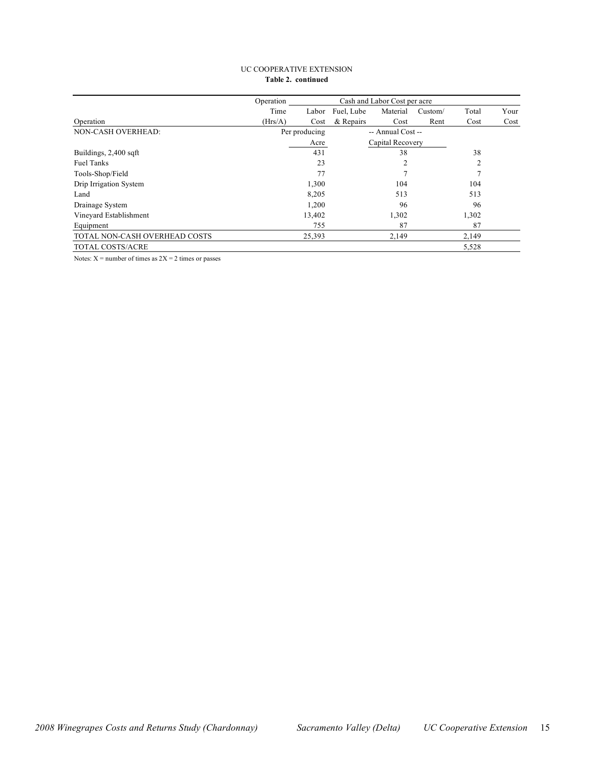#### UC COOPERATIVE EXTENSION **Table 2. continued**

|                               | Operation |                     |           |                   |         |                |      |
|-------------------------------|-----------|---------------------|-----------|-------------------|---------|----------------|------|
|                               | Time      | Fuel, Lube<br>Labor |           | Material          | Custom/ | Total          | Your |
| Operation                     | (Hrs/A)   | Cost                | & Repairs | Cost              | Rent    | Cost           | Cost |
| NON-CASH OVERHEAD:            |           | Per producing       |           | -- Annual Cost -- |         |                |      |
|                               |           | Acre                |           | Capital Recovery  |         |                |      |
| Buildings, 2,400 sqft         |           | 431                 |           | 38                |         | 38             |      |
| <b>Fuel Tanks</b>             |           | 23                  |           | 2                 |         | $\overline{2}$ |      |
| Tools-Shop/Field              |           | 77                  |           |                   |         |                |      |
| Drip Irrigation System        |           | 1,300               |           | 104               |         | 104            |      |
| Land                          |           | 8,205               |           | 513               |         | 513            |      |
| Drainage System               |           | 1,200               |           | 96                |         | 96             |      |
| Vineyard Establishment        |           | 13,402              |           | 1,302             |         | 1,302          |      |
| Equipment                     |           | 755                 |           | 87                |         | 87             |      |
| TOTAL NON-CASH OVERHEAD COSTS |           | 25,393              |           | 2,149             |         | 2,149          |      |
| <b>TOTAL COSTS/ACRE</b>       |           |                     |           |                   |         | 5,528          |      |

Notes:  $X =$  number of times as  $2X = 2$  times or passes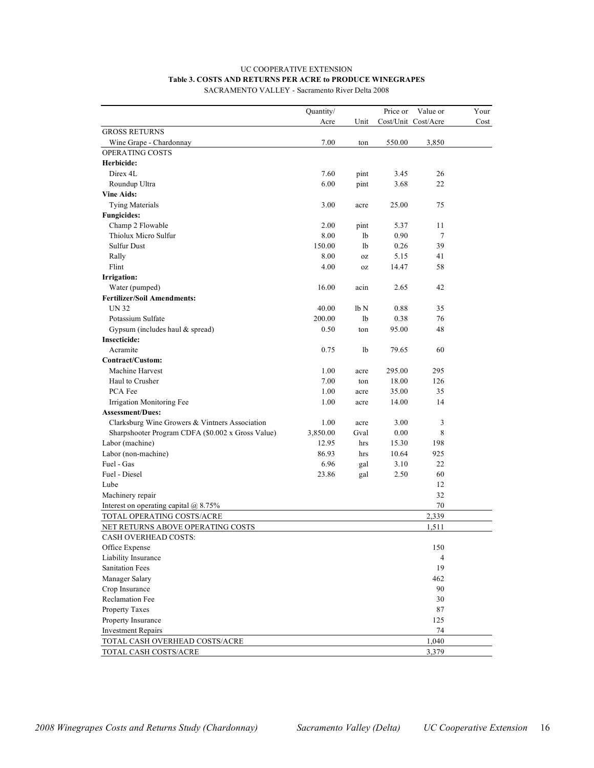## UC COOPERATIVE EXTENSION **Table 3. COSTS AND RETURNS PER ACRE to PRODUCE WINEGRAPES**

SACRAMENTO VALLEY - Sacramento River Delta 2008

| Cost/Unit Cost/Acre<br>Acre<br>Cost<br>Unit<br><b>GROSS RETURNS</b><br>7.00<br>Wine Grape - Chardonnay<br>550.00<br>3,850<br>ton<br>OPERATING COSTS<br>Herbicide:<br>7.60<br>26<br>Direx 4L<br>pint<br>3.45<br>6.00<br>22<br>Roundup Ultra<br>pint<br>3.68<br><b>Vine Aids:</b><br><b>Tying Materials</b><br>3.00<br>25.00<br>75<br>acre<br><b>Fungicides:</b><br>Champ 2 Flowable<br>2.00<br>5.37<br>11<br>pint<br>Thiolux Micro Sulfur<br>8.00<br>lb<br>0.90<br>7<br><b>Sulfur Dust</b><br>150.00<br>1b<br>39<br>0.26<br>8.00<br>5.15<br>41<br>Rally<br>0Z<br>Flint<br>58<br>4.00<br>14.47<br>0Z<br>Irrigation:<br>Water (pumped)<br>16.00<br>acin<br>2.65<br>42<br><b>Fertilizer/Soil Amendments:</b><br><b>UN 32</b><br>40.00<br>lb N<br>0.88<br>35<br>Potassium Sulfate<br>200.00<br>0.38<br>76<br>lb<br>95.00<br>48<br>Gypsum (includes haul $&$ spread)<br>0.50<br>ton<br><b>Insecticide:</b><br>0.75<br>60<br>Acramite<br>lb<br>79.65<br>Contract/Custom:<br>295.00<br>295<br>Machine Harvest<br>1.00<br>acre<br>Haul to Crusher<br>7.00<br>18.00<br>126<br>ton<br>PCA Fee<br>1.00<br>35<br>35.00<br>acre<br>Irrigation Monitoring Fee<br>1.00<br>14<br>14.00<br>acre<br><b>Assessment/Dues:</b><br>Clarksburg Wine Growers & Vintners Association<br>1.00<br>3.00<br>3<br>acre<br>Sharpshooter Program CDFA (\$0.002 x Gross Value)<br>3,850.00<br>8<br>Gval<br>0.00<br>Labor (machine)<br>12.95<br>15.30<br>198<br>hrs<br>Labor (non-machine)<br>925<br>86.93<br>10.64<br>hrs<br>Fuel - Gas<br>6.96<br>22<br>3.10<br>gal<br>Fuel - Diesel<br>60<br>23.86<br>2.50<br>gal<br>12<br>Lube<br>32<br>Machinery repair<br>70<br>Interest on operating capital $@$ 8.75%<br>TOTAL OPERATING COSTS/ACRE<br>2,339<br>NET RETURNS ABOVE OPERATING COSTS<br>1,511<br>CASH OVERHEAD COSTS:<br>150<br>Office Expense<br>Liability Insurance<br>$\overline{4}$<br><b>Sanitation Fees</b><br>19<br>Manager Salary<br>462<br>Crop Insurance<br>90<br><b>Reclamation Fee</b><br>30<br>87<br>Property Taxes<br>125<br>Property Insurance<br>74<br><b>Investment Repairs</b><br>1,040<br>TOTAL CASH OVERHEAD COSTS/ACRE |                       | Quantity/ | Price or | Value or | Your |
|---------------------------------------------------------------------------------------------------------------------------------------------------------------------------------------------------------------------------------------------------------------------------------------------------------------------------------------------------------------------------------------------------------------------------------------------------------------------------------------------------------------------------------------------------------------------------------------------------------------------------------------------------------------------------------------------------------------------------------------------------------------------------------------------------------------------------------------------------------------------------------------------------------------------------------------------------------------------------------------------------------------------------------------------------------------------------------------------------------------------------------------------------------------------------------------------------------------------------------------------------------------------------------------------------------------------------------------------------------------------------------------------------------------------------------------------------------------------------------------------------------------------------------------------------------------------------------------------------------------------------------------------------------------------------------------------------------------------------------------------------------------------------------------------------------------------------------------------------------------------------------------------------------------------------------------------------------------------------------------------------------------------------------------------------------------------------------------------------------------|-----------------------|-----------|----------|----------|------|
|                                                                                                                                                                                                                                                                                                                                                                                                                                                                                                                                                                                                                                                                                                                                                                                                                                                                                                                                                                                                                                                                                                                                                                                                                                                                                                                                                                                                                                                                                                                                                                                                                                                                                                                                                                                                                                                                                                                                                                                                                                                                                                               |                       |           |          |          |      |
|                                                                                                                                                                                                                                                                                                                                                                                                                                                                                                                                                                                                                                                                                                                                                                                                                                                                                                                                                                                                                                                                                                                                                                                                                                                                                                                                                                                                                                                                                                                                                                                                                                                                                                                                                                                                                                                                                                                                                                                                                                                                                                               |                       |           |          |          |      |
|                                                                                                                                                                                                                                                                                                                                                                                                                                                                                                                                                                                                                                                                                                                                                                                                                                                                                                                                                                                                                                                                                                                                                                                                                                                                                                                                                                                                                                                                                                                                                                                                                                                                                                                                                                                                                                                                                                                                                                                                                                                                                                               |                       |           |          |          |      |
|                                                                                                                                                                                                                                                                                                                                                                                                                                                                                                                                                                                                                                                                                                                                                                                                                                                                                                                                                                                                                                                                                                                                                                                                                                                                                                                                                                                                                                                                                                                                                                                                                                                                                                                                                                                                                                                                                                                                                                                                                                                                                                               |                       |           |          |          |      |
|                                                                                                                                                                                                                                                                                                                                                                                                                                                                                                                                                                                                                                                                                                                                                                                                                                                                                                                                                                                                                                                                                                                                                                                                                                                                                                                                                                                                                                                                                                                                                                                                                                                                                                                                                                                                                                                                                                                                                                                                                                                                                                               |                       |           |          |          |      |
|                                                                                                                                                                                                                                                                                                                                                                                                                                                                                                                                                                                                                                                                                                                                                                                                                                                                                                                                                                                                                                                                                                                                                                                                                                                                                                                                                                                                                                                                                                                                                                                                                                                                                                                                                                                                                                                                                                                                                                                                                                                                                                               |                       |           |          |          |      |
|                                                                                                                                                                                                                                                                                                                                                                                                                                                                                                                                                                                                                                                                                                                                                                                                                                                                                                                                                                                                                                                                                                                                                                                                                                                                                                                                                                                                                                                                                                                                                                                                                                                                                                                                                                                                                                                                                                                                                                                                                                                                                                               |                       |           |          |          |      |
|                                                                                                                                                                                                                                                                                                                                                                                                                                                                                                                                                                                                                                                                                                                                                                                                                                                                                                                                                                                                                                                                                                                                                                                                                                                                                                                                                                                                                                                                                                                                                                                                                                                                                                                                                                                                                                                                                                                                                                                                                                                                                                               |                       |           |          |          |      |
|                                                                                                                                                                                                                                                                                                                                                                                                                                                                                                                                                                                                                                                                                                                                                                                                                                                                                                                                                                                                                                                                                                                                                                                                                                                                                                                                                                                                                                                                                                                                                                                                                                                                                                                                                                                                                                                                                                                                                                                                                                                                                                               |                       |           |          |          |      |
|                                                                                                                                                                                                                                                                                                                                                                                                                                                                                                                                                                                                                                                                                                                                                                                                                                                                                                                                                                                                                                                                                                                                                                                                                                                                                                                                                                                                                                                                                                                                                                                                                                                                                                                                                                                                                                                                                                                                                                                                                                                                                                               |                       |           |          |          |      |
|                                                                                                                                                                                                                                                                                                                                                                                                                                                                                                                                                                                                                                                                                                                                                                                                                                                                                                                                                                                                                                                                                                                                                                                                                                                                                                                                                                                                                                                                                                                                                                                                                                                                                                                                                                                                                                                                                                                                                                                                                                                                                                               |                       |           |          |          |      |
|                                                                                                                                                                                                                                                                                                                                                                                                                                                                                                                                                                                                                                                                                                                                                                                                                                                                                                                                                                                                                                                                                                                                                                                                                                                                                                                                                                                                                                                                                                                                                                                                                                                                                                                                                                                                                                                                                                                                                                                                                                                                                                               |                       |           |          |          |      |
|                                                                                                                                                                                                                                                                                                                                                                                                                                                                                                                                                                                                                                                                                                                                                                                                                                                                                                                                                                                                                                                                                                                                                                                                                                                                                                                                                                                                                                                                                                                                                                                                                                                                                                                                                                                                                                                                                                                                                                                                                                                                                                               |                       |           |          |          |      |
|                                                                                                                                                                                                                                                                                                                                                                                                                                                                                                                                                                                                                                                                                                                                                                                                                                                                                                                                                                                                                                                                                                                                                                                                                                                                                                                                                                                                                                                                                                                                                                                                                                                                                                                                                                                                                                                                                                                                                                                                                                                                                                               |                       |           |          |          |      |
|                                                                                                                                                                                                                                                                                                                                                                                                                                                                                                                                                                                                                                                                                                                                                                                                                                                                                                                                                                                                                                                                                                                                                                                                                                                                                                                                                                                                                                                                                                                                                                                                                                                                                                                                                                                                                                                                                                                                                                                                                                                                                                               |                       |           |          |          |      |
|                                                                                                                                                                                                                                                                                                                                                                                                                                                                                                                                                                                                                                                                                                                                                                                                                                                                                                                                                                                                                                                                                                                                                                                                                                                                                                                                                                                                                                                                                                                                                                                                                                                                                                                                                                                                                                                                                                                                                                                                                                                                                                               |                       |           |          |          |      |
|                                                                                                                                                                                                                                                                                                                                                                                                                                                                                                                                                                                                                                                                                                                                                                                                                                                                                                                                                                                                                                                                                                                                                                                                                                                                                                                                                                                                                                                                                                                                                                                                                                                                                                                                                                                                                                                                                                                                                                                                                                                                                                               |                       |           |          |          |      |
|                                                                                                                                                                                                                                                                                                                                                                                                                                                                                                                                                                                                                                                                                                                                                                                                                                                                                                                                                                                                                                                                                                                                                                                                                                                                                                                                                                                                                                                                                                                                                                                                                                                                                                                                                                                                                                                                                                                                                                                                                                                                                                               |                       |           |          |          |      |
|                                                                                                                                                                                                                                                                                                                                                                                                                                                                                                                                                                                                                                                                                                                                                                                                                                                                                                                                                                                                                                                                                                                                                                                                                                                                                                                                                                                                                                                                                                                                                                                                                                                                                                                                                                                                                                                                                                                                                                                                                                                                                                               |                       |           |          |          |      |
|                                                                                                                                                                                                                                                                                                                                                                                                                                                                                                                                                                                                                                                                                                                                                                                                                                                                                                                                                                                                                                                                                                                                                                                                                                                                                                                                                                                                                                                                                                                                                                                                                                                                                                                                                                                                                                                                                                                                                                                                                                                                                                               |                       |           |          |          |      |
|                                                                                                                                                                                                                                                                                                                                                                                                                                                                                                                                                                                                                                                                                                                                                                                                                                                                                                                                                                                                                                                                                                                                                                                                                                                                                                                                                                                                                                                                                                                                                                                                                                                                                                                                                                                                                                                                                                                                                                                                                                                                                                               |                       |           |          |          |      |
|                                                                                                                                                                                                                                                                                                                                                                                                                                                                                                                                                                                                                                                                                                                                                                                                                                                                                                                                                                                                                                                                                                                                                                                                                                                                                                                                                                                                                                                                                                                                                                                                                                                                                                                                                                                                                                                                                                                                                                                                                                                                                                               |                       |           |          |          |      |
|                                                                                                                                                                                                                                                                                                                                                                                                                                                                                                                                                                                                                                                                                                                                                                                                                                                                                                                                                                                                                                                                                                                                                                                                                                                                                                                                                                                                                                                                                                                                                                                                                                                                                                                                                                                                                                                                                                                                                                                                                                                                                                               |                       |           |          |          |      |
|                                                                                                                                                                                                                                                                                                                                                                                                                                                                                                                                                                                                                                                                                                                                                                                                                                                                                                                                                                                                                                                                                                                                                                                                                                                                                                                                                                                                                                                                                                                                                                                                                                                                                                                                                                                                                                                                                                                                                                                                                                                                                                               |                       |           |          |          |      |
|                                                                                                                                                                                                                                                                                                                                                                                                                                                                                                                                                                                                                                                                                                                                                                                                                                                                                                                                                                                                                                                                                                                                                                                                                                                                                                                                                                                                                                                                                                                                                                                                                                                                                                                                                                                                                                                                                                                                                                                                                                                                                                               |                       |           |          |          |      |
|                                                                                                                                                                                                                                                                                                                                                                                                                                                                                                                                                                                                                                                                                                                                                                                                                                                                                                                                                                                                                                                                                                                                                                                                                                                                                                                                                                                                                                                                                                                                                                                                                                                                                                                                                                                                                                                                                                                                                                                                                                                                                                               |                       |           |          |          |      |
|                                                                                                                                                                                                                                                                                                                                                                                                                                                                                                                                                                                                                                                                                                                                                                                                                                                                                                                                                                                                                                                                                                                                                                                                                                                                                                                                                                                                                                                                                                                                                                                                                                                                                                                                                                                                                                                                                                                                                                                                                                                                                                               |                       |           |          |          |      |
|                                                                                                                                                                                                                                                                                                                                                                                                                                                                                                                                                                                                                                                                                                                                                                                                                                                                                                                                                                                                                                                                                                                                                                                                                                                                                                                                                                                                                                                                                                                                                                                                                                                                                                                                                                                                                                                                                                                                                                                                                                                                                                               |                       |           |          |          |      |
|                                                                                                                                                                                                                                                                                                                                                                                                                                                                                                                                                                                                                                                                                                                                                                                                                                                                                                                                                                                                                                                                                                                                                                                                                                                                                                                                                                                                                                                                                                                                                                                                                                                                                                                                                                                                                                                                                                                                                                                                                                                                                                               |                       |           |          |          |      |
|                                                                                                                                                                                                                                                                                                                                                                                                                                                                                                                                                                                                                                                                                                                                                                                                                                                                                                                                                                                                                                                                                                                                                                                                                                                                                                                                                                                                                                                                                                                                                                                                                                                                                                                                                                                                                                                                                                                                                                                                                                                                                                               |                       |           |          |          |      |
|                                                                                                                                                                                                                                                                                                                                                                                                                                                                                                                                                                                                                                                                                                                                                                                                                                                                                                                                                                                                                                                                                                                                                                                                                                                                                                                                                                                                                                                                                                                                                                                                                                                                                                                                                                                                                                                                                                                                                                                                                                                                                                               |                       |           |          |          |      |
|                                                                                                                                                                                                                                                                                                                                                                                                                                                                                                                                                                                                                                                                                                                                                                                                                                                                                                                                                                                                                                                                                                                                                                                                                                                                                                                                                                                                                                                                                                                                                                                                                                                                                                                                                                                                                                                                                                                                                                                                                                                                                                               |                       |           |          |          |      |
|                                                                                                                                                                                                                                                                                                                                                                                                                                                                                                                                                                                                                                                                                                                                                                                                                                                                                                                                                                                                                                                                                                                                                                                                                                                                                                                                                                                                                                                                                                                                                                                                                                                                                                                                                                                                                                                                                                                                                                                                                                                                                                               |                       |           |          |          |      |
|                                                                                                                                                                                                                                                                                                                                                                                                                                                                                                                                                                                                                                                                                                                                                                                                                                                                                                                                                                                                                                                                                                                                                                                                                                                                                                                                                                                                                                                                                                                                                                                                                                                                                                                                                                                                                                                                                                                                                                                                                                                                                                               |                       |           |          |          |      |
|                                                                                                                                                                                                                                                                                                                                                                                                                                                                                                                                                                                                                                                                                                                                                                                                                                                                                                                                                                                                                                                                                                                                                                                                                                                                                                                                                                                                                                                                                                                                                                                                                                                                                                                                                                                                                                                                                                                                                                                                                                                                                                               |                       |           |          |          |      |
|                                                                                                                                                                                                                                                                                                                                                                                                                                                                                                                                                                                                                                                                                                                                                                                                                                                                                                                                                                                                                                                                                                                                                                                                                                                                                                                                                                                                                                                                                                                                                                                                                                                                                                                                                                                                                                                                                                                                                                                                                                                                                                               |                       |           |          |          |      |
|                                                                                                                                                                                                                                                                                                                                                                                                                                                                                                                                                                                                                                                                                                                                                                                                                                                                                                                                                                                                                                                                                                                                                                                                                                                                                                                                                                                                                                                                                                                                                                                                                                                                                                                                                                                                                                                                                                                                                                                                                                                                                                               |                       |           |          |          |      |
|                                                                                                                                                                                                                                                                                                                                                                                                                                                                                                                                                                                                                                                                                                                                                                                                                                                                                                                                                                                                                                                                                                                                                                                                                                                                                                                                                                                                                                                                                                                                                                                                                                                                                                                                                                                                                                                                                                                                                                                                                                                                                                               |                       |           |          |          |      |
|                                                                                                                                                                                                                                                                                                                                                                                                                                                                                                                                                                                                                                                                                                                                                                                                                                                                                                                                                                                                                                                                                                                                                                                                                                                                                                                                                                                                                                                                                                                                                                                                                                                                                                                                                                                                                                                                                                                                                                                                                                                                                                               |                       |           |          |          |      |
|                                                                                                                                                                                                                                                                                                                                                                                                                                                                                                                                                                                                                                                                                                                                                                                                                                                                                                                                                                                                                                                                                                                                                                                                                                                                                                                                                                                                                                                                                                                                                                                                                                                                                                                                                                                                                                                                                                                                                                                                                                                                                                               |                       |           |          |          |      |
|                                                                                                                                                                                                                                                                                                                                                                                                                                                                                                                                                                                                                                                                                                                                                                                                                                                                                                                                                                                                                                                                                                                                                                                                                                                                                                                                                                                                                                                                                                                                                                                                                                                                                                                                                                                                                                                                                                                                                                                                                                                                                                               |                       |           |          |          |      |
|                                                                                                                                                                                                                                                                                                                                                                                                                                                                                                                                                                                                                                                                                                                                                                                                                                                                                                                                                                                                                                                                                                                                                                                                                                                                                                                                                                                                                                                                                                                                                                                                                                                                                                                                                                                                                                                                                                                                                                                                                                                                                                               |                       |           |          |          |      |
|                                                                                                                                                                                                                                                                                                                                                                                                                                                                                                                                                                                                                                                                                                                                                                                                                                                                                                                                                                                                                                                                                                                                                                                                                                                                                                                                                                                                                                                                                                                                                                                                                                                                                                                                                                                                                                                                                                                                                                                                                                                                                                               |                       |           |          |          |      |
|                                                                                                                                                                                                                                                                                                                                                                                                                                                                                                                                                                                                                                                                                                                                                                                                                                                                                                                                                                                                                                                                                                                                                                                                                                                                                                                                                                                                                                                                                                                                                                                                                                                                                                                                                                                                                                                                                                                                                                                                                                                                                                               |                       |           |          |          |      |
|                                                                                                                                                                                                                                                                                                                                                                                                                                                                                                                                                                                                                                                                                                                                                                                                                                                                                                                                                                                                                                                                                                                                                                                                                                                                                                                                                                                                                                                                                                                                                                                                                                                                                                                                                                                                                                                                                                                                                                                                                                                                                                               |                       |           |          |          |      |
|                                                                                                                                                                                                                                                                                                                                                                                                                                                                                                                                                                                                                                                                                                                                                                                                                                                                                                                                                                                                                                                                                                                                                                                                                                                                                                                                                                                                                                                                                                                                                                                                                                                                                                                                                                                                                                                                                                                                                                                                                                                                                                               |                       |           |          |          |      |
|                                                                                                                                                                                                                                                                                                                                                                                                                                                                                                                                                                                                                                                                                                                                                                                                                                                                                                                                                                                                                                                                                                                                                                                                                                                                                                                                                                                                                                                                                                                                                                                                                                                                                                                                                                                                                                                                                                                                                                                                                                                                                                               |                       |           |          |          |      |
|                                                                                                                                                                                                                                                                                                                                                                                                                                                                                                                                                                                                                                                                                                                                                                                                                                                                                                                                                                                                                                                                                                                                                                                                                                                                                                                                                                                                                                                                                                                                                                                                                                                                                                                                                                                                                                                                                                                                                                                                                                                                                                               |                       |           |          |          |      |
|                                                                                                                                                                                                                                                                                                                                                                                                                                                                                                                                                                                                                                                                                                                                                                                                                                                                                                                                                                                                                                                                                                                                                                                                                                                                                                                                                                                                                                                                                                                                                                                                                                                                                                                                                                                                                                                                                                                                                                                                                                                                                                               |                       |           |          |          |      |
|                                                                                                                                                                                                                                                                                                                                                                                                                                                                                                                                                                                                                                                                                                                                                                                                                                                                                                                                                                                                                                                                                                                                                                                                                                                                                                                                                                                                                                                                                                                                                                                                                                                                                                                                                                                                                                                                                                                                                                                                                                                                                                               |                       |           |          |          |      |
|                                                                                                                                                                                                                                                                                                                                                                                                                                                                                                                                                                                                                                                                                                                                                                                                                                                                                                                                                                                                                                                                                                                                                                                                                                                                                                                                                                                                                                                                                                                                                                                                                                                                                                                                                                                                                                                                                                                                                                                                                                                                                                               |                       |           |          |          |      |
|                                                                                                                                                                                                                                                                                                                                                                                                                                                                                                                                                                                                                                                                                                                                                                                                                                                                                                                                                                                                                                                                                                                                                                                                                                                                                                                                                                                                                                                                                                                                                                                                                                                                                                                                                                                                                                                                                                                                                                                                                                                                                                               | TOTAL CASH COSTS/ACRE |           |          | 3,379    |      |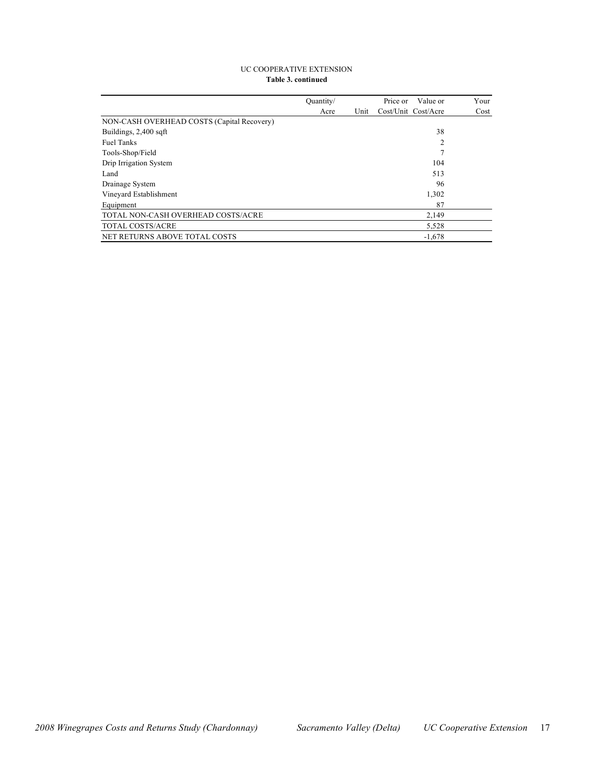#### UC COOPERATIVE EXTENSION **Table 3. continued**

|                                            | Quantity/ |      | Value or<br>Price or | Your |
|--------------------------------------------|-----------|------|----------------------|------|
|                                            | Acre      | Unit | Cost/Unit Cost/Acre  | Cost |
| NON-CASH OVERHEAD COSTS (Capital Recovery) |           |      |                      |      |
| Buildings, 2,400 sqft                      |           |      | 38                   |      |
| <b>Fuel Tanks</b>                          |           |      | $\overline{c}$       |      |
| Tools-Shop/Field                           |           |      |                      |      |
| Drip Irrigation System                     |           |      | 104                  |      |
| Land                                       |           |      | 513                  |      |
| Drainage System                            |           |      | 96                   |      |
| Vineyard Establishment                     |           |      | 1,302                |      |
| Equipment                                  |           |      | 87                   |      |
| TOTAL NON-CASH OVERHEAD COSTS/ACRE         |           |      | 2.149                |      |
| TOTAL COSTS/ACRE                           |           |      | 5,528                |      |
| NET RETURNS ABOVE TOTAL COSTS              |           |      | $-1,678$             |      |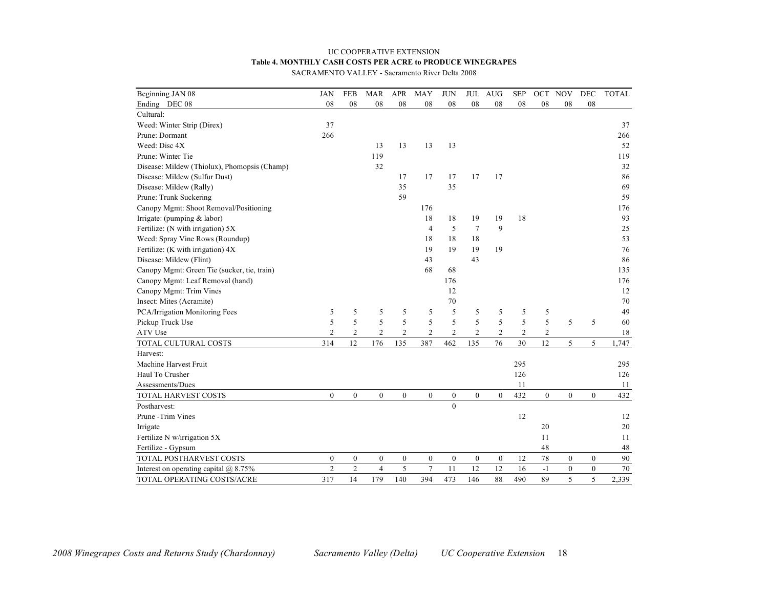## UC COOPERATIVE EXTENSION **Table 4. MONTHLY CASH COSTS PER ACRE to PRODUCE WINEGRAPES**

SACRAMENTO VALLEY - Sacramento River Delta 2008

| Beginning JAN 08                             | JAN            | <b>FEB</b>       | <b>MAR</b>       | <b>APR</b>       | <b>MAY</b>       | <b>JUN</b>       |                  | JUL AUG          | <b>SEP</b>     | OCT            | <b>NOV</b>   | <b>DEC</b>       | <b>TOTAL</b> |
|----------------------------------------------|----------------|------------------|------------------|------------------|------------------|------------------|------------------|------------------|----------------|----------------|--------------|------------------|--------------|
| Ending DEC 08                                | 08             | ${\bf 08}$       | 08               | 08               | 08               | 08               | 08               | 08               | 08             | 08             | 08           | ${\bf 08}$       |              |
| Cultural:                                    |                |                  |                  |                  |                  |                  |                  |                  |                |                |              |                  |              |
| Weed: Winter Strip (Direx)                   | 37             |                  |                  |                  |                  |                  |                  |                  |                |                |              |                  | 37           |
| Prune: Dormant                               | 266            |                  |                  |                  |                  |                  |                  |                  |                |                |              |                  | 266          |
| Weed: Disc 4X                                |                |                  | 13               | 13               | 13               | 13               |                  |                  |                |                |              |                  | 52           |
| Prune: Winter Tie                            |                |                  | 119              |                  |                  |                  |                  |                  |                |                |              |                  | 119          |
| Disease: Mildew (Thiolux), Phomopsis (Champ) |                |                  | 32               |                  |                  |                  |                  |                  |                |                |              |                  | 32           |
| Disease: Mildew (Sulfur Dust)                |                |                  |                  | 17               | 17               | 17               | 17               | 17               |                |                |              |                  | 86           |
| Disease: Mildew (Rally)                      |                |                  |                  | 35               |                  | 35               |                  |                  |                |                |              |                  | 69           |
| Prune: Trunk Suckering                       |                |                  |                  | 59               |                  |                  |                  |                  |                |                |              |                  | 59           |
| Canopy Mgmt: Shoot Removal/Positioning       |                |                  |                  |                  | 176              |                  |                  |                  |                |                |              |                  | 176          |
| Irrigate: (pumping & labor)                  |                |                  |                  |                  | 18               | 18               | 19               | 19               | 18             |                |              |                  | 93           |
| Fertilize: (N with irrigation) 5X            |                |                  |                  |                  | $\overline{4}$   | 5                | $\overline{7}$   | 9                |                |                |              |                  | 25           |
| Weed: Spray Vine Rows (Roundup)              |                |                  |                  |                  | 18               | 18               | 18               |                  |                |                |              |                  | 53           |
| Fertilize: (K with irrigation) $4X$          |                |                  |                  |                  | 19               | 19               | 19               | 19               |                |                |              |                  | 76           |
| Disease: Mildew (Flint)                      |                |                  |                  |                  | 43               |                  | 43               |                  |                |                |              |                  | 86           |
| Canopy Mgmt: Green Tie (sucker, tie, train)  |                |                  |                  |                  | 68               | 68               |                  |                  |                |                |              |                  | 135          |
| Canopy Mgmt: Leaf Removal (hand)             |                |                  |                  |                  |                  | 176              |                  |                  |                |                |              |                  | 176          |
| Canopy Mgmt: Trim Vines                      |                |                  |                  |                  |                  | 12               |                  |                  |                |                |              |                  | 12           |
| Insect: Mites (Acramite)                     |                |                  |                  |                  |                  | 70               |                  |                  |                |                |              |                  | 70           |
| PCA/Irrigation Monitoring Fees               | 5              | 5                | 5                | 5                | 5                | 5                | 5                | 5                | 5              | 5              |              |                  | 49           |
| Pickup Truck Use                             | 5              | 5                | 5                | 5                | 5                | 5                | 5                | 5                | 5              | 5              | 5            | 5                | 60           |
| ATV Use                                      | $\overline{2}$ | $\overline{c}$   | $\overline{c}$   | $\overline{c}$   | $\overline{2}$   | $\overline{2}$   | $\overline{2}$   | $\overline{c}$   | $\mathfrak{2}$ | $\overline{2}$ |              |                  | 18           |
| TOTAL CULTURAL COSTS                         | 314            | 12               | 176              | 135              | 387              | 462              | 135              | 76               | 30             | 12             | 5            | 5                | 1,747        |
| Harvest:                                     |                |                  |                  |                  |                  |                  |                  |                  |                |                |              |                  |              |
| Machine Harvest Fruit                        |                |                  |                  |                  |                  |                  |                  |                  | 295            |                |              |                  | 295          |
| Haul To Crusher                              |                |                  |                  |                  |                  |                  |                  |                  | 126            |                |              |                  | 126          |
| Assessments/Dues                             |                |                  |                  |                  |                  |                  |                  |                  | 11             |                |              |                  | 11           |
| TOTAL HARVEST COSTS                          | $\mathbf{0}$   | $\boldsymbol{0}$ | $\mathbf{0}$     | $\boldsymbol{0}$ | $\boldsymbol{0}$ | $\boldsymbol{0}$ | $\overline{0}$   | $\mathbf{0}$     | 432            | $\mathbf{0}$   | $\mathbf{0}$ | $\boldsymbol{0}$ | 432          |
| Postharvest:                                 |                |                  |                  |                  |                  | $\mathbf{0}$     |                  |                  |                |                |              |                  |              |
| Prune -Trim Vines                            |                |                  |                  |                  |                  |                  |                  |                  | 12             |                |              |                  | 12           |
| Irrigate                                     |                |                  |                  |                  |                  |                  |                  |                  |                | 20             |              |                  | 20           |
| Fertilize N w/irrigation 5X                  |                |                  |                  |                  |                  |                  |                  |                  |                | 11             |              |                  | 11           |
| Fertilize - Gypsum                           |                |                  |                  |                  |                  |                  |                  |                  |                | 48             |              |                  | 48           |
| TOTAL POSTHARVEST COSTS                      | $\mathbf{0}$   | $\mathbf{0}$     | $\boldsymbol{0}$ | $\boldsymbol{0}$ | $\boldsymbol{0}$ | $\mathbf{0}$     | $\boldsymbol{0}$ | $\boldsymbol{0}$ | 12             | 78             | $\mathbf{0}$ | $\mathbf{0}$     | 90           |
| Interest on operating capital $(a)$ 8.75%    | $\overline{2}$ | $\overline{2}$   | $\overline{4}$   | 5                | $\overline{7}$   | 11               | 12               | 12               | 16             | $-1$           | $\mathbf{0}$ | $\boldsymbol{0}$ | 70           |
| TOTAL OPERATING COSTS/ACRE                   | 317            | 14               | 179              | 140              | 394              | 473              | 146              | 88               | 490            | 89             | 5            | 5                | 2,339        |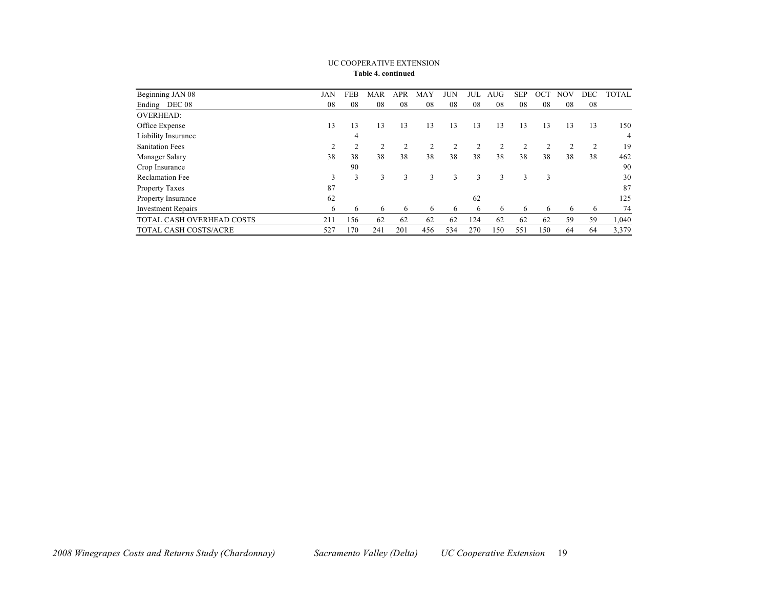| Beginning JAN 08             | JAN | FEB | <b>MAR</b>     | <b>APR</b> | MAY            | JUN | JUL | <b>AUG</b> | <b>SEP</b> | OCT | <b>NOV</b> | <b>DEC</b> | <b>TOTAL</b> |
|------------------------------|-----|-----|----------------|------------|----------------|-----|-----|------------|------------|-----|------------|------------|--------------|
| Ending DEC 08                | 08  | 08  | 08             | 08         | 08             | 08  | 08  | 08         | 08         | 08  | 08         | 08         |              |
| <b>OVERHEAD:</b>             |     |     |                |            |                |     |     |            |            |     |            |            |              |
| Office Expense               | 13  | 13  | 13             | 13         | 13             | 13  | 13  | 13         | 13         | 13  | 13         | 13         | 150          |
| Liability Insurance          |     | 4   |                |            |                |     |     |            |            |     |            |            | 4            |
| <b>Sanitation Fees</b>       |     |     | $\overline{2}$ | 2          | $\overline{2}$ | 2   | 2   | 2          | 2          | 2   |            |            | 19           |
| Manager Salary               | 38  | 38  | 38             | 38         | 38             | 38  | 38  | 38         | 38         | 38  | 38         | 38         | 462          |
| Crop Insurance               |     | 90  |                |            |                |     |     |            |            |     |            |            | 90           |
| Reclamation Fee              | 3   | 3   | 3              | 3          | 3              | 3   | 3   | 3          | 3          | 3   |            |            | 30           |
| Property Taxes               | 87  |     |                |            |                |     |     |            |            |     |            |            | 87           |
| Property Insurance           | 62  |     |                |            |                |     | 62  |            |            |     |            |            | 125          |
| <b>Investment Repairs</b>    | 6   | 6   | 6              | 6          | 6              | 6   | 6   | 6          | 6          | 6   | 6          | 6          | 74           |
| TOTAL CASH OVERHEAD COSTS    | 211 | 156 | 62             | 62         | 62             | 62  | 124 | 62         | 62         | 62  | 59         | 59         | 1,040        |
| <b>TOTAL CASH COSTS/ACRE</b> | 527 | 170 | 241            | 201        | 456            | 534 | 270 | 150        | 551        | 150 | 64         | 64         | 3,379        |

#### UC COOPERATIVE EXTENSION **Table 4. continued**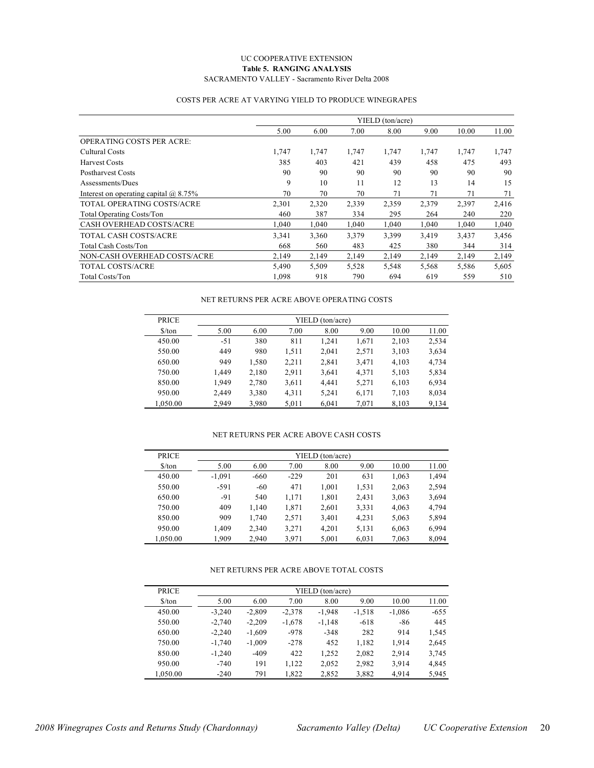#### UC COOPERATIVE EXTENSION **Table 5. RANGING ANALYSIS** SACRAMENTO VALLEY - Sacramento River Delta 2008

#### COSTS PER ACRE AT VARYING YIELD TO PRODUCE WINEGRAPES

|                                           |       |       |       | YIELD (ton/acre) |       |       |       |
|-------------------------------------------|-------|-------|-------|------------------|-------|-------|-------|
|                                           | 5.00  | 6.00  | 7.00  | 8.00             | 9.00  | 10.00 | 11.00 |
| <b>OPERATING COSTS PER ACRE:</b>          |       |       |       |                  |       |       |       |
| Cultural Costs                            | 1,747 | 1,747 | 1,747 | 1,747            | 1,747 | 1,747 | 1,747 |
| <b>Harvest Costs</b>                      | 385   | 403   | 421   | 439              | 458   | 475   | 493   |
| <b>Postharvest Costs</b>                  | 90    | 90    | 90    | 90               | 90    | 90    | 90    |
| Assessments/Dues                          | 9     | 10    | 11    | 12               | 13    | 14    | 15    |
| Interest on operating capital $(a)$ 8.75% | 70    | 70    | 70    | 71               | 71    | 71    | 71    |
| TOTAL OPERATING COSTS/ACRE                | 2,301 | 2,320 | 2,339 | 2,359            | 2,379 | 2,397 | 2,416 |
| <b>Total Operating Costs/Ton</b>          | 460   | 387   | 334   | 295              | 264   | 240   | 220   |
| <b>CASH OVERHEAD COSTS/ACRE</b>           | 1,040 | 1,040 | 1,040 | 1,040            | 1,040 | 1,040 | 1,040 |
| TOTAL CASH COSTS/ACRE                     | 3,341 | 3,360 | 3,379 | 3,399            | 3,419 | 3,437 | 3,456 |
| <b>Total Cash Costs/Ton</b>               | 668   | 560   | 483   | 425              | 380   | 344   | 314   |
| NON-CASH OVERHEAD COSTS/ACRE              | 2,149 | 2,149 | 2,149 | 2,149            | 2,149 | 2,149 | 2,149 |
| TOTAL COSTS/ACRE                          | 5,490 | 5,509 | 5,528 | 5,548            | 5,568 | 5,586 | 5,605 |
| Total Costs/Ton                           | 1,098 | 918   | 790   | 694              | 619   | 559   | 510   |

#### NET RETURNS PER ACRE ABOVE OPERATING COSTS

| <b>PRICE</b>                  | YIELD (ton/acre) |       |       |       |       |       |       |  |  |  |
|-------------------------------|------------------|-------|-------|-------|-------|-------|-------|--|--|--|
| $\frac{\text{S}}{\text{ton}}$ | 5.00             | 6.00  | 7.00  | 8.00  | 9.00  | 10.00 | 11.00 |  |  |  |
| 450.00                        | $-51$            | 380   | 811   | 1.241 | 1,671 | 2,103 | 2,534 |  |  |  |
| 550.00                        | 449              | 980   | 1,511 | 2.041 | 2,571 | 3,103 | 3,634 |  |  |  |
| 650.00                        | 949              | 1,580 | 2,211 | 2,841 | 3,471 | 4,103 | 4,734 |  |  |  |
| 750.00                        | 1.449            | 2,180 | 2,911 | 3,641 | 4,371 | 5,103 | 5,834 |  |  |  |
| 850.00                        | 1.949            | 2,780 | 3,611 | 4.441 | 5,271 | 6,103 | 6,934 |  |  |  |
| 950.00                        | 2,449            | 3,380 | 4,311 | 5,241 | 6,171 | 7,103 | 8,034 |  |  |  |
| 1.050.00                      | 2.949            | 3,980 | 5,011 | 6,041 | 7,071 | 8,103 | 9,134 |  |  |  |

#### NET RETURNS PER ACRE ABOVE CASH COSTS

| <b>PRICE</b>                  |          | YIELD (ton/acre) |        |       |       |       |       |  |  |  |  |  |  |
|-------------------------------|----------|------------------|--------|-------|-------|-------|-------|--|--|--|--|--|--|
| $\frac{\text{S}}{\text{ton}}$ | 5.00     | 6.00             | 7.00   | 8.00  | 9.00  | 10.00 | 11.00 |  |  |  |  |  |  |
| 450.00                        | $-1.091$ | $-660$           | $-229$ | 201   | 631   | 1.063 | 1,494 |  |  |  |  |  |  |
| 550.00                        | $-591$   | $-60$            | 471    | 1.001 | 1,531 | 2,063 | 2,594 |  |  |  |  |  |  |
| 650.00                        | $-91$    | 540              | 1.171  | 1.801 | 2.431 | 3,063 | 3,694 |  |  |  |  |  |  |
| 750.00                        | 409      | 1.140            | 1.871  | 2.601 | 3,331 | 4,063 | 4,794 |  |  |  |  |  |  |
| 850.00                        | 909      | 1.740            | 2,571  | 3,401 | 4,231 | 5,063 | 5,894 |  |  |  |  |  |  |
| 950.00                        | 1,409    | 2,340            | 3,271  | 4,201 | 5,131 | 6,063 | 6,994 |  |  |  |  |  |  |
| 1.050.00                      | 1.909    | 2.940            | 3.971  | 5.001 | 6,031 | 7,063 | 8.094 |  |  |  |  |  |  |

#### NET RETURNS PER ACRE ABOVE TOTAL COSTS

| <b>PRICE</b>                  |          |          | YIELD (ton/acre) |          |          |          |        |
|-------------------------------|----------|----------|------------------|----------|----------|----------|--------|
| $\frac{\text{S}}{\text{ton}}$ | 5.00     | 6.00     | 7.00             | 8.00     | 9.00     | 10.00    | 11.00  |
| 450.00                        | $-3.240$ | $-2.809$ | $-2.378$         | $-1.948$ | $-1,518$ | $-1,086$ | $-655$ |
| 550.00                        | $-2.740$ | $-2.209$ | $-1,678$         | $-1.148$ | $-618$   | $-86$    | 445    |
| 650.00                        | $-2.240$ | $-1.609$ | $-978$           | $-348$   | 282      | 914      | 1,545  |
| 750.00                        | $-1.740$ | $-1.009$ | $-278$           | 452      | 1,182    | 1.914    | 2,645  |
| 850.00                        | $-1.240$ | $-409$   | 422              | 1,252    | 2,082    | 2,914    | 3,745  |
| 950.00                        | $-740$   | 191      | 1,122            | 2,052    | 2,982    | 3,914    | 4,845  |
| 1,050.00                      | $-240$   | 791      | 1,822            | 2,852    | 3,882    | 4,914    | 5,945  |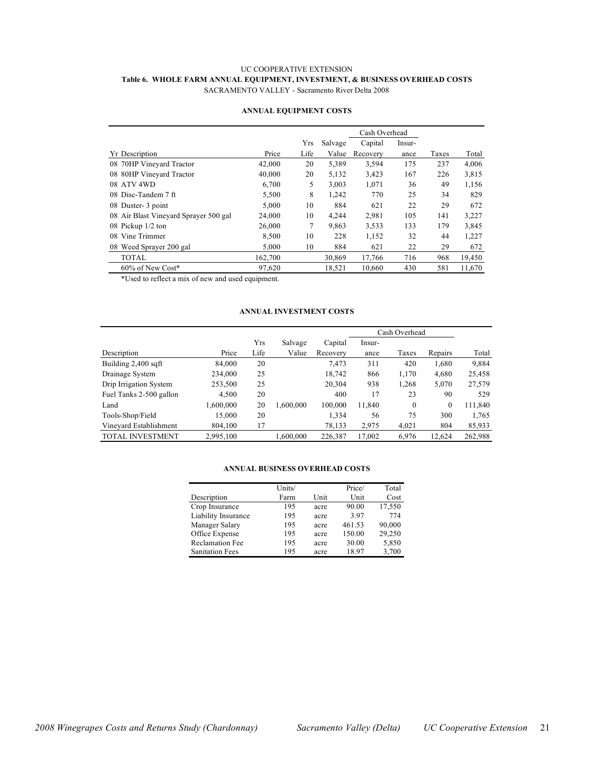## UC COOPERATIVE EXTENSION **Table 6. WHOLE FARM ANNUAL EQUIPMENT, INVESTMENT, & BUSINESS OVERHEAD COSTS** SACRAMENTO VALLEY - Sacramento River Delta 2008

|                                       |         |      |         | Cash Overhead |        |       |        |
|---------------------------------------|---------|------|---------|---------------|--------|-------|--------|
|                                       |         | Yrs  | Salvage | Capital       | Insur- |       |        |
| <b>Yr</b> Description                 | Price   | Life | Value   | Recovery      | ance   | Taxes | Total  |
| 08 70HP Vineyard Tractor              | 42,000  | 20   | 5,389   | 3,594         | 175    | 237   | 4,006  |
| 08 80HP Vineyard Tractor              | 40,000  | 20   | 5,132   | 3,423         | 167    | 226   | 3,815  |
| ATV 4WD<br>08                         | 6.700   | 5    | 3,003   | 1,071         | 36     | 49    | 1,156  |
| 08 Disc-Tandem $7$ ft                 | 5,500   | 8    | 1,242   | 770           | 25     | 34    | 829    |
| 08 Duster- 3 point                    | 5.000   | 10   | 884     | 621           | 22     | 29    | 672    |
| 08 Air Blast Vineyard Sprayer 500 gal | 24,000  | 10   | 4,244   | 2,981         | 105    | 141   | 3,227  |
| 08 Pickup 1/2 ton                     | 26,000  | 7    | 9,863   | 3,533         | 133    | 179   | 3,845  |
| Vine Trimmer<br>08                    | 8,500   | 10   | 228     | 1,152         | 32     | 44    | 1,227  |
| 08 Weed Sprayer 200 gal               | 5,000   | 10   | 884     | 621           | 22     | 29    | 672    |
| <b>TOTAL</b>                          | 162,700 |      | 30,869  | 17,766        | 716    | 968   | 19,450 |
| $60\%$ of New Cost*                   | 97,620  |      | 18,521  | 10,660        | 430    | 581   | 11,670 |

## **ANNUAL EQUIPMENT COSTS**

\*Used to reflect a mix of new and used equipment.

#### **ANNUAL INVESTMENT COSTS**

|                         |           |      |           |          | Cash Overhead |              |              |         |
|-------------------------|-----------|------|-----------|----------|---------------|--------------|--------------|---------|
|                         |           | Yrs  | Salvage   | Capital  | Insur-        |              |              |         |
| Description             | Price     | Life | Value     | Recovery | ance          | Taxes        | Repairs      | Total   |
| Building 2,400 sqft     | 84,000    | 20   |           | 7,473    | 311           | 420          | 1,680        | 9,884   |
| Drainage System         | 234,000   | 25   |           | 18,742   | 866           | 1,170        | 4,680        | 25,458  |
| Drip Irrigation System  | 253,500   | 25   |           | 20,304   | 938           | 1,268        | 5,070        | 27,579  |
| Fuel Tanks 2-500 gallon | 4,500     | 20   |           | 400      | 17            | 23           | 90           | 529     |
| Land                    | 1,600,000 | 20   | 1,600,000 | 100,000  | 11,840        | $\mathbf{0}$ | $\mathbf{0}$ | 111,840 |
| Tools-Shop/Field        | 15,000    | 20   |           | 1,334    | 56            | 75           | 300          | 1,765   |
| Vineyard Establishment  | 804.100   | 17   |           | 78,133   | 2,975         | 4,021        | 804          | 85,933  |
| <b>TOTAL INVESTMENT</b> | 2,995,100 |      | 1,600,000 | 226,387  | 17,002        | 6,976        | 12.624       | 262,988 |

#### **ANNUAL BUSINESS OVERHEAD COSTS**

|                        | Units/ |      | Price/ | Total  |
|------------------------|--------|------|--------|--------|
| Description            | Farm   | Unit | Unit   | Cost   |
| Crop Insurance         | 195    | acre | 90.00  | 17,550 |
| Liability Insurance    | 195    | acre | 3.97   | 774    |
| Manager Salary         | 195    | acre | 461.53 | 90,000 |
| Office Expense         | 195    | acre | 150.00 | 29,250 |
| <b>Reclamation Fee</b> | 195    | acre | 30.00  | 5,850  |
| <b>Sanitation Fees</b> | 195    | acre | 18.97  | 3,700  |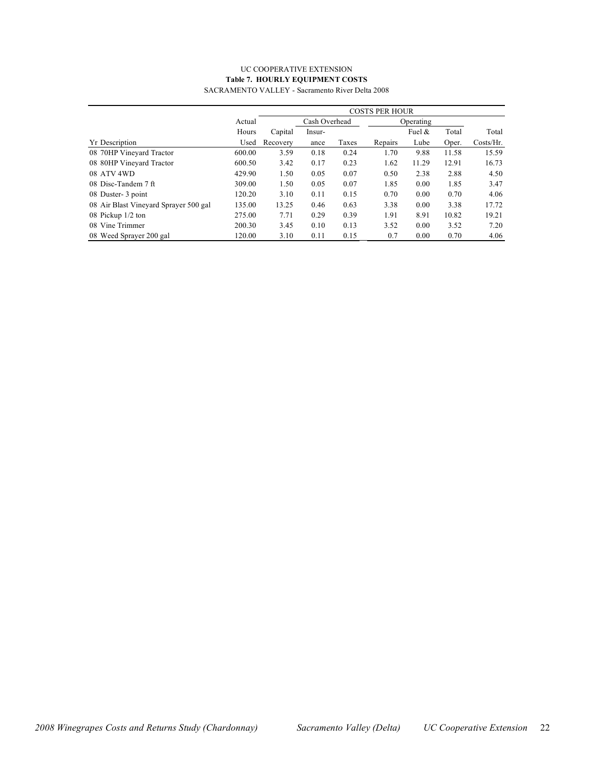## UC COOPERATIVE EXTENSION **Table 7. HOURLY EQUIPMENT COSTS**

|                                       |        | <b>COSTS PER HOUR</b> |        |       |           |           |       |           |  |  |  |  |
|---------------------------------------|--------|-----------------------|--------|-------|-----------|-----------|-------|-----------|--|--|--|--|
|                                       | Actual | Cash Overhead         |        |       | Operating |           |       |           |  |  |  |  |
|                                       | Hours  | Capital               | Insur- |       |           | Fuel $\&$ | Total | Total     |  |  |  |  |
| <b>Yr</b> Description                 | Used   | Recovery              | ance   | Taxes | Repairs   | Lube      | Oper. | Costs/Hr. |  |  |  |  |
| 08 70HP Vineyard Tractor              | 600.00 | 3.59                  | 0.18   | 0.24  | 1.70      | 9.88      | 11.58 | 15.59     |  |  |  |  |
| 08 80HP Vineyard Tractor              | 600.50 | 3.42                  | 0.17   | 0.23  | 1.62      | 11.29     | 12.91 | 16.73     |  |  |  |  |
| 08 ATV 4WD                            | 429.90 | 1.50                  | 0.05   | 0.07  | 0.50      | 2.38      | 2.88  | 4.50      |  |  |  |  |
| 08 Disc-Tandem 7 ft                   | 309.00 | 1.50                  | 0.05   | 0.07  | 1.85      | 0.00      | 1.85  | 3.47      |  |  |  |  |
| 08 Duster- 3 point                    | 120.20 | 3.10                  | 0.11   | 0.15  | 0.70      | 0.00      | 0.70  | 4.06      |  |  |  |  |
| 08 Air Blast Vineyard Sprayer 500 gal | 135.00 | 13.25                 | 0.46   | 0.63  | 3.38      | 0.00      | 3.38  | 17.72     |  |  |  |  |
| 08 Pickup 1/2 ton                     | 275.00 | 7.71                  | 0.29   | 0.39  | 1.91      | 8.91      | 10.82 | 19.21     |  |  |  |  |
| 08 Vine Trimmer                       | 200.30 | 3.45                  | 0.10   | 0.13  | 3.52      | 0.00      | 3.52  | 7.20      |  |  |  |  |
| 08 Weed Sprayer 200 gal               | 120.00 | 3.10                  | 0.11   | 0.15  | 0.7       | 0.00      | 0.70  | 4.06      |  |  |  |  |

SACRAMENTO VALLEY - Sacramento River Delta 2008